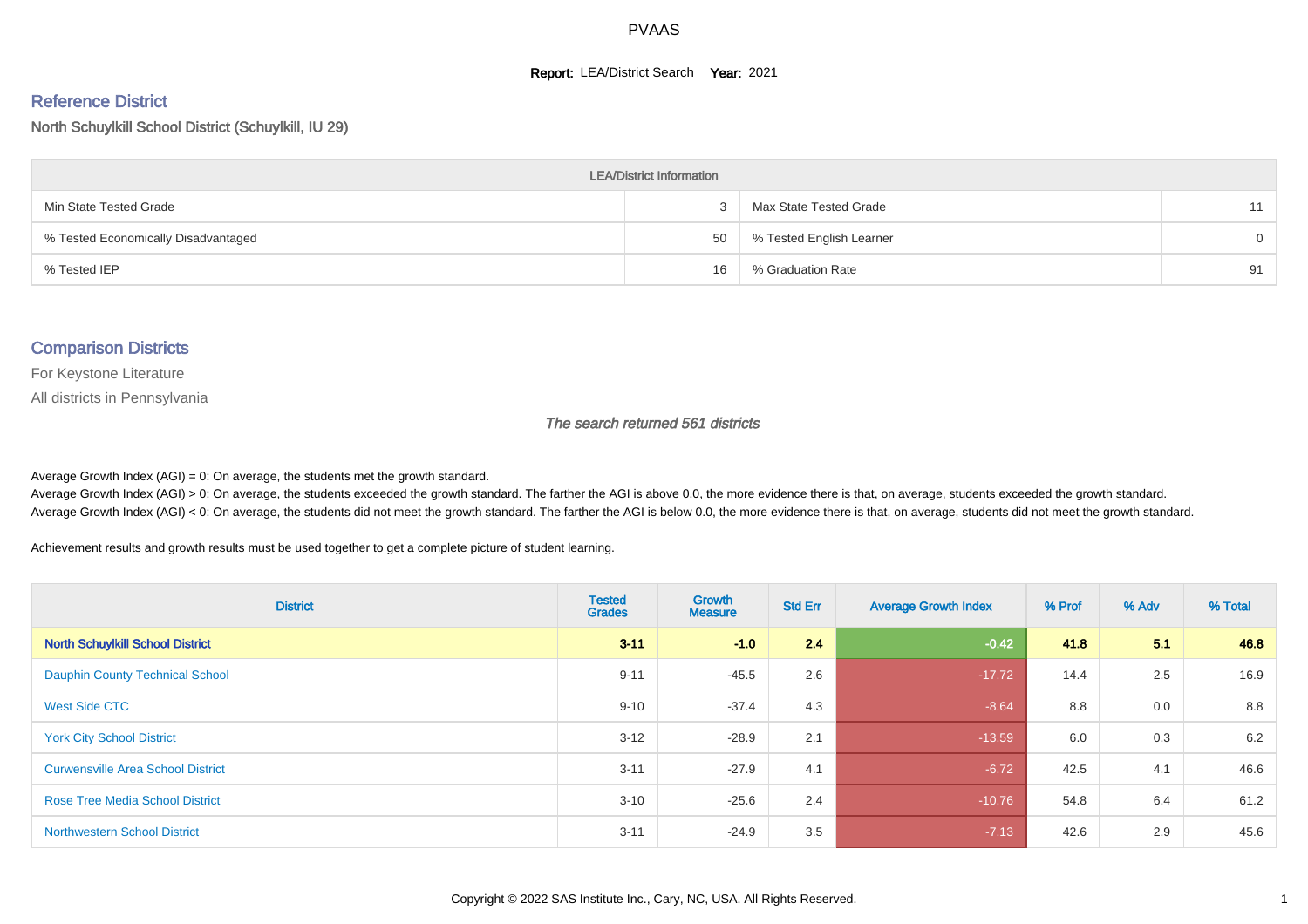#### **Report: LEA/District Search Year: 2021**

# Reference District

North Schuylkill School District (Schuylkill, IU 29)

| <b>LEA/District Information</b>     |    |                          |    |  |  |  |  |  |  |  |
|-------------------------------------|----|--------------------------|----|--|--|--|--|--|--|--|
| Min State Tested Grade              |    | Max State Tested Grade   | 11 |  |  |  |  |  |  |  |
| % Tested Economically Disadvantaged | 50 | % Tested English Learner | 0  |  |  |  |  |  |  |  |
| % Tested IEP                        | 16 | % Graduation Rate        | 91 |  |  |  |  |  |  |  |

#### Comparison Districts

For Keystone Literature

All districts in Pennsylvania

The search returned 561 districts

Average Growth Index  $(AGI) = 0$ : On average, the students met the growth standard.

Average Growth Index (AGI) > 0: On average, the students exceeded the growth standard. The farther the AGI is above 0.0, the more evidence there is that, on average, students exceeded the growth standard. Average Growth Index (AGI) < 0: On average, the students did not meet the growth standard. The farther the AGI is below 0.0, the more evidence there is that, on average, students did not meet the growth standard.

Achievement results and growth results must be used together to get a complete picture of student learning.

| <b>District</b>                          | <b>Tested</b><br><b>Grades</b> | <b>Growth</b><br><b>Measure</b> | <b>Std Err</b> | <b>Average Growth Index</b> | % Prof | % Adv | % Total |
|------------------------------------------|--------------------------------|---------------------------------|----------------|-----------------------------|--------|-------|---------|
| <b>North Schuylkill School District</b>  | $3 - 11$                       | $-1.0$                          | 2.4            | $-0.42$                     | 41.8   | 5.1   | 46.8    |
| <b>Dauphin County Technical School</b>   | $9 - 11$                       | $-45.5$                         | 2.6            | $-17.72$                    | 14.4   | 2.5   | 16.9    |
| <b>West Side CTC</b>                     | $9 - 10$                       | $-37.4$                         | 4.3            | $-8.64$                     | 8.8    | 0.0   | 8.8     |
| <b>York City School District</b>         | $3 - 12$                       | $-28.9$                         | 2.1            | $-13.59$                    | 6.0    | 0.3   | 6.2     |
| <b>Curwensville Area School District</b> | $3 - 11$                       | $-27.9$                         | 4.1            | $-6.72$                     | 42.5   | 4.1   | 46.6    |
| <b>Rose Tree Media School District</b>   | $3 - 10$                       | $-25.6$                         | 2.4            | $-10.76$                    | 54.8   | 6.4   | 61.2    |
| <b>Northwestern School District</b>      | $3 - 11$                       | $-24.9$                         | 3.5            | $-7.13$                     | 42.6   | 2.9   | 45.6    |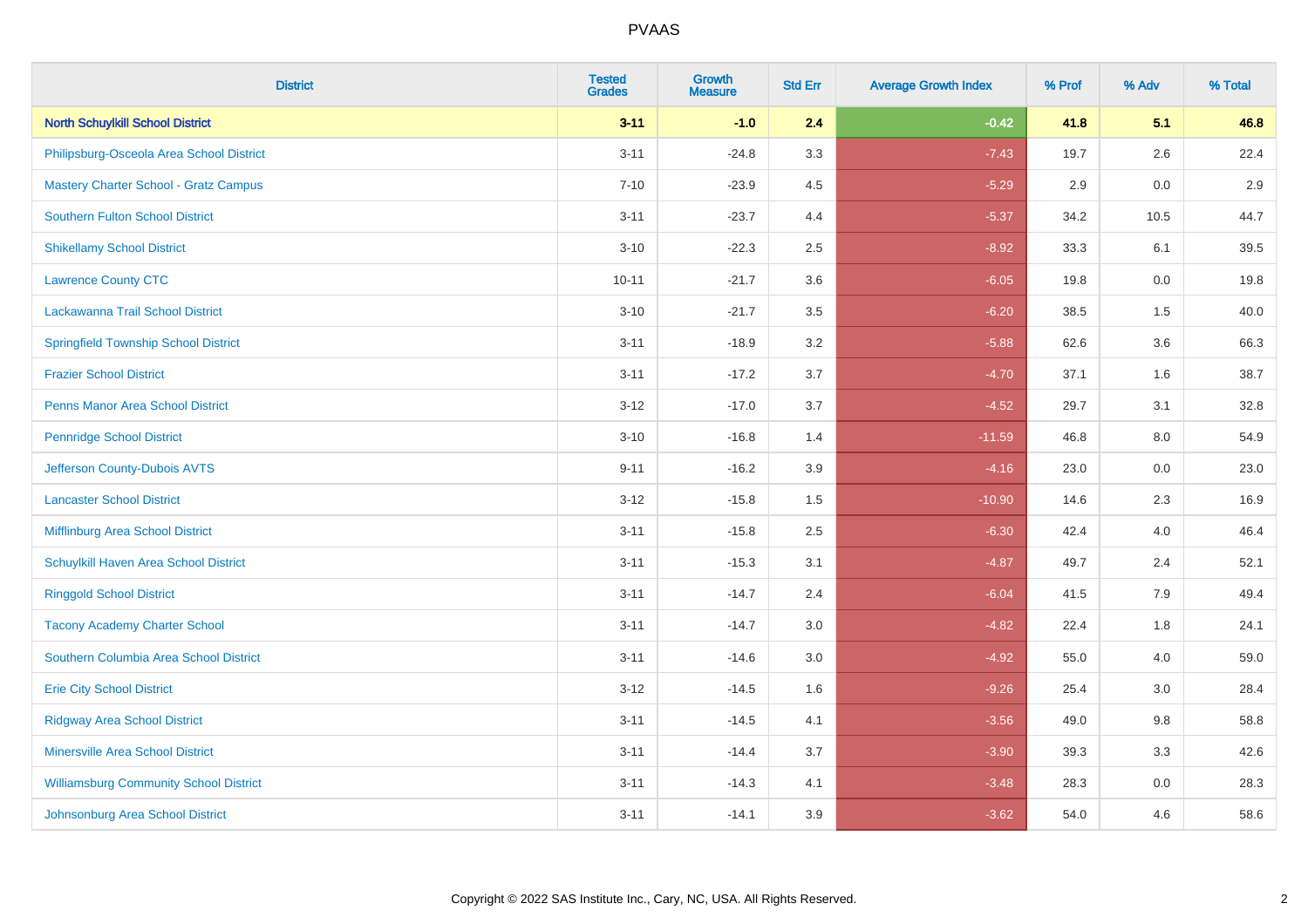| <b>District</b>                               | <b>Tested</b><br><b>Grades</b> | <b>Growth</b><br><b>Measure</b> | <b>Std Err</b> | <b>Average Growth Index</b> | % Prof | % Adv | % Total |
|-----------------------------------------------|--------------------------------|---------------------------------|----------------|-----------------------------|--------|-------|---------|
| <b>North Schuylkill School District</b>       | $3 - 11$                       | $-1.0$                          | 2.4            | $-0.42$                     | 41.8   | 5.1   | 46.8    |
| Philipsburg-Osceola Area School District      | $3 - 11$                       | $-24.8$                         | 3.3            | $-7.43$                     | 19.7   | 2.6   | 22.4    |
| <b>Mastery Charter School - Gratz Campus</b>  | $7 - 10$                       | $-23.9$                         | 4.5            | $-5.29$                     | 2.9    | 0.0   | 2.9     |
| <b>Southern Fulton School District</b>        | $3 - 11$                       | $-23.7$                         | 4.4            | $-5.37$                     | 34.2   | 10.5  | 44.7    |
| <b>Shikellamy School District</b>             | $3 - 10$                       | $-22.3$                         | 2.5            | $-8.92$                     | 33.3   | 6.1   | 39.5    |
| <b>Lawrence County CTC</b>                    | $10 - 11$                      | $-21.7$                         | 3.6            | $-6.05$                     | 19.8   | 0.0   | 19.8    |
| Lackawanna Trail School District              | $3 - 10$                       | $-21.7$                         | 3.5            | $-6.20$                     | 38.5   | 1.5   | 40.0    |
| <b>Springfield Township School District</b>   | $3 - 11$                       | $-18.9$                         | 3.2            | $-5.88$                     | 62.6   | 3.6   | 66.3    |
| <b>Frazier School District</b>                | $3 - 11$                       | $-17.2$                         | 3.7            | $-4.70$                     | 37.1   | 1.6   | 38.7    |
| <b>Penns Manor Area School District</b>       | $3 - 12$                       | $-17.0$                         | 3.7            | $-4.52$                     | 29.7   | 3.1   | 32.8    |
| <b>Pennridge School District</b>              | $3 - 10$                       | $-16.8$                         | 1.4            | $-11.59$                    | 46.8   | 8.0   | 54.9    |
| Jefferson County-Dubois AVTS                  | $9 - 11$                       | $-16.2$                         | 3.9            | $-4.16$                     | 23.0   | 0.0   | 23.0    |
| <b>Lancaster School District</b>              | $3 - 12$                       | $-15.8$                         | $1.5$          | $-10.90$                    | 14.6   | 2.3   | 16.9    |
| Mifflinburg Area School District              | $3 - 11$                       | $-15.8$                         | 2.5            | $-6.30$                     | 42.4   | 4.0   | 46.4    |
| Schuylkill Haven Area School District         | $3 - 11$                       | $-15.3$                         | 3.1            | $-4.87$                     | 49.7   | 2.4   | 52.1    |
| <b>Ringgold School District</b>               | $3 - 11$                       | $-14.7$                         | 2.4            | $-6.04$                     | 41.5   | 7.9   | 49.4    |
| <b>Tacony Academy Charter School</b>          | $3 - 11$                       | $-14.7$                         | 3.0            | $-4.82$                     | 22.4   | 1.8   | 24.1    |
| Southern Columbia Area School District        | $3 - 11$                       | $-14.6$                         | 3.0            | $-4.92$                     | 55.0   | 4.0   | 59.0    |
| <b>Erie City School District</b>              | $3 - 12$                       | $-14.5$                         | 1.6            | $-9.26$                     | 25.4   | 3.0   | 28.4    |
| <b>Ridgway Area School District</b>           | $3 - 11$                       | $-14.5$                         | 4.1            | $-3.56$                     | 49.0   | 9.8   | 58.8    |
| Minersville Area School District              | $3 - 11$                       | $-14.4$                         | 3.7            | $-3.90$                     | 39.3   | 3.3   | 42.6    |
| <b>Williamsburg Community School District</b> | $3 - 11$                       | $-14.3$                         | 4.1            | $-3.48$                     | 28.3   | 0.0   | 28.3    |
| Johnsonburg Area School District              | $3 - 11$                       | $-14.1$                         | 3.9            | $-3.62$                     | 54.0   | 4.6   | 58.6    |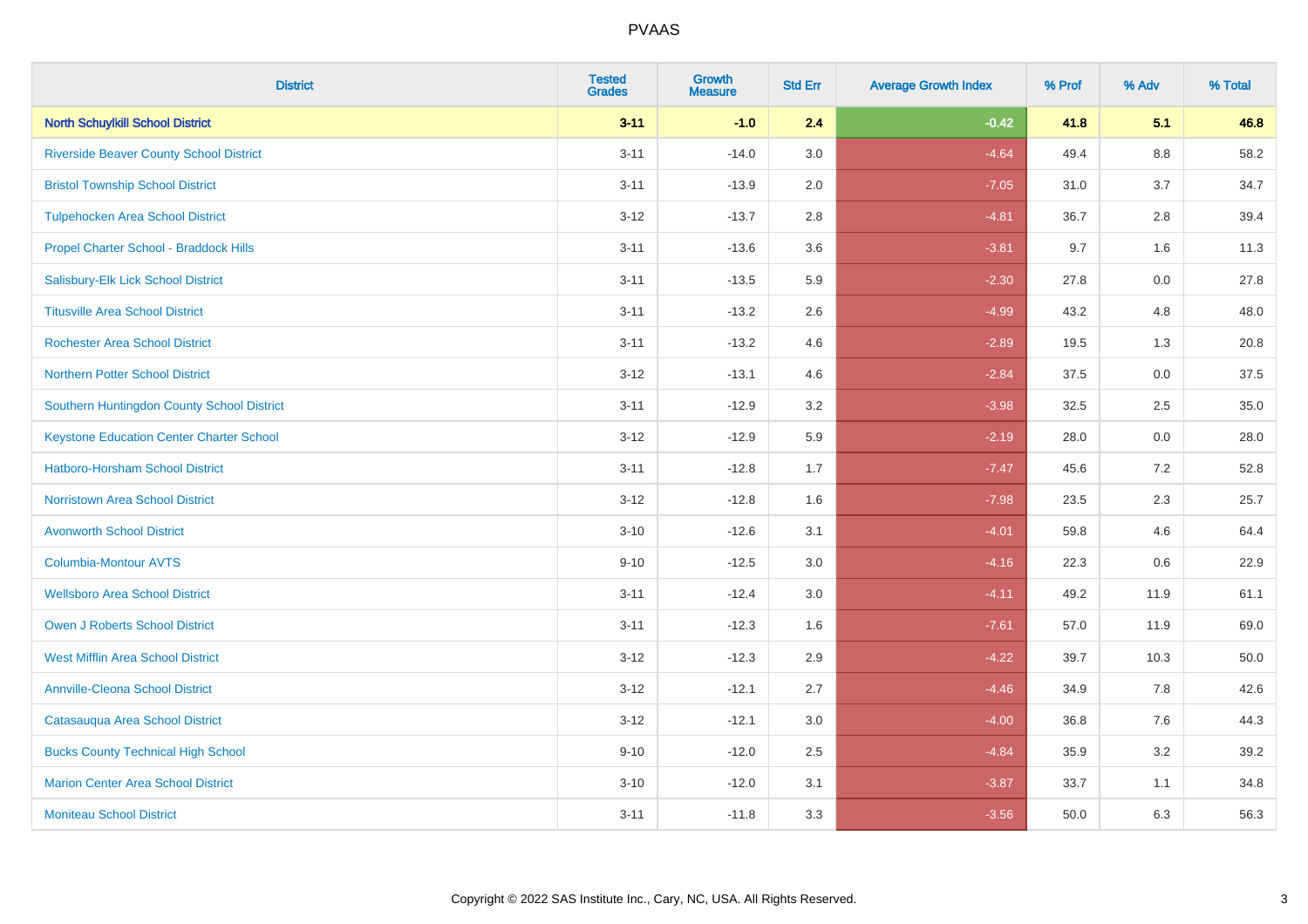| <b>District</b>                                 | <b>Tested</b><br><b>Grades</b> | <b>Growth</b><br><b>Measure</b> | <b>Std Err</b> | <b>Average Growth Index</b> | % Prof | % Adv   | % Total |
|-------------------------------------------------|--------------------------------|---------------------------------|----------------|-----------------------------|--------|---------|---------|
| <b>North Schuylkill School District</b>         | $3 - 11$                       | $-1.0$                          | 2.4            | $-0.42$                     | 41.8   | 5.1     | 46.8    |
| <b>Riverside Beaver County School District</b>  | $3 - 11$                       | $-14.0$                         | 3.0            | $-4.64$                     | 49.4   | $8.8\,$ | 58.2    |
| <b>Bristol Township School District</b>         | $3 - 11$                       | $-13.9$                         | 2.0            | $-7.05$                     | 31.0   | 3.7     | 34.7    |
| <b>Tulpehocken Area School District</b>         | $3 - 12$                       | $-13.7$                         | 2.8            | $-4.81$                     | 36.7   | 2.8     | 39.4    |
| Propel Charter School - Braddock Hills          | $3 - 11$                       | $-13.6$                         | 3.6            | $-3.81$                     | 9.7    | 1.6     | 11.3    |
| Salisbury-Elk Lick School District              | $3 - 11$                       | $-13.5$                         | 5.9            | $-2.30$                     | 27.8   | 0.0     | 27.8    |
| <b>Titusville Area School District</b>          | $3 - 11$                       | $-13.2$                         | 2.6            | $-4.99$                     | 43.2   | 4.8     | 48.0    |
| <b>Rochester Area School District</b>           | $3 - 11$                       | $-13.2$                         | 4.6            | $-2.89$                     | 19.5   | 1.3     | 20.8    |
| <b>Northern Potter School District</b>          | $3 - 12$                       | $-13.1$                         | 4.6            | $-2.84$                     | 37.5   | 0.0     | 37.5    |
| Southern Huntingdon County School District      | $3 - 11$                       | $-12.9$                         | 3.2            | $-3.98$                     | 32.5   | $2.5\,$ | 35.0    |
| <b>Keystone Education Center Charter School</b> | $3 - 12$                       | $-12.9$                         | 5.9            | $-2.19$                     | 28.0   | 0.0     | 28.0    |
| <b>Hatboro-Horsham School District</b>          | $3 - 11$                       | $-12.8$                         | 1.7            | $-7.47$                     | 45.6   | 7.2     | 52.8    |
| <b>Norristown Area School District</b>          | $3 - 12$                       | $-12.8$                         | 1.6            | $-7.98$                     | 23.5   | 2.3     | 25.7    |
| <b>Avonworth School District</b>                | $3 - 10$                       | $-12.6$                         | 3.1            | $-4.01$                     | 59.8   | 4.6     | 64.4    |
| Columbia-Montour AVTS                           | $9 - 10$                       | $-12.5$                         | 3.0            | $-4.16$                     | 22.3   | 0.6     | 22.9    |
| <b>Wellsboro Area School District</b>           | $3 - 11$                       | $-12.4$                         | 3.0            | $-4.11$                     | 49.2   | 11.9    | 61.1    |
| <b>Owen J Roberts School District</b>           | $3 - 11$                       | $-12.3$                         | 1.6            | $-7.61$                     | 57.0   | 11.9    | 69.0    |
| <b>West Mifflin Area School District</b>        | $3 - 12$                       | $-12.3$                         | 2.9            | $-4.22$                     | 39.7   | 10.3    | 50.0    |
| <b>Annville-Cleona School District</b>          | $3 - 12$                       | $-12.1$                         | 2.7            | $-4.46$                     | 34.9   | 7.8     | 42.6    |
| Catasauqua Area School District                 | $3 - 12$                       | $-12.1$                         | 3.0            | $-4.00$                     | 36.8   | 7.6     | 44.3    |
| <b>Bucks County Technical High School</b>       | $9 - 10$                       | $-12.0$                         | 2.5            | $-4.84$                     | 35.9   | 3.2     | 39.2    |
| <b>Marion Center Area School District</b>       | $3 - 10$                       | $-12.0$                         | 3.1            | $-3.87$                     | 33.7   | 1.1     | 34.8    |
| <b>Moniteau School District</b>                 | $3 - 11$                       | $-11.8$                         | 3.3            | $-3.56$                     | 50.0   | 6.3     | 56.3    |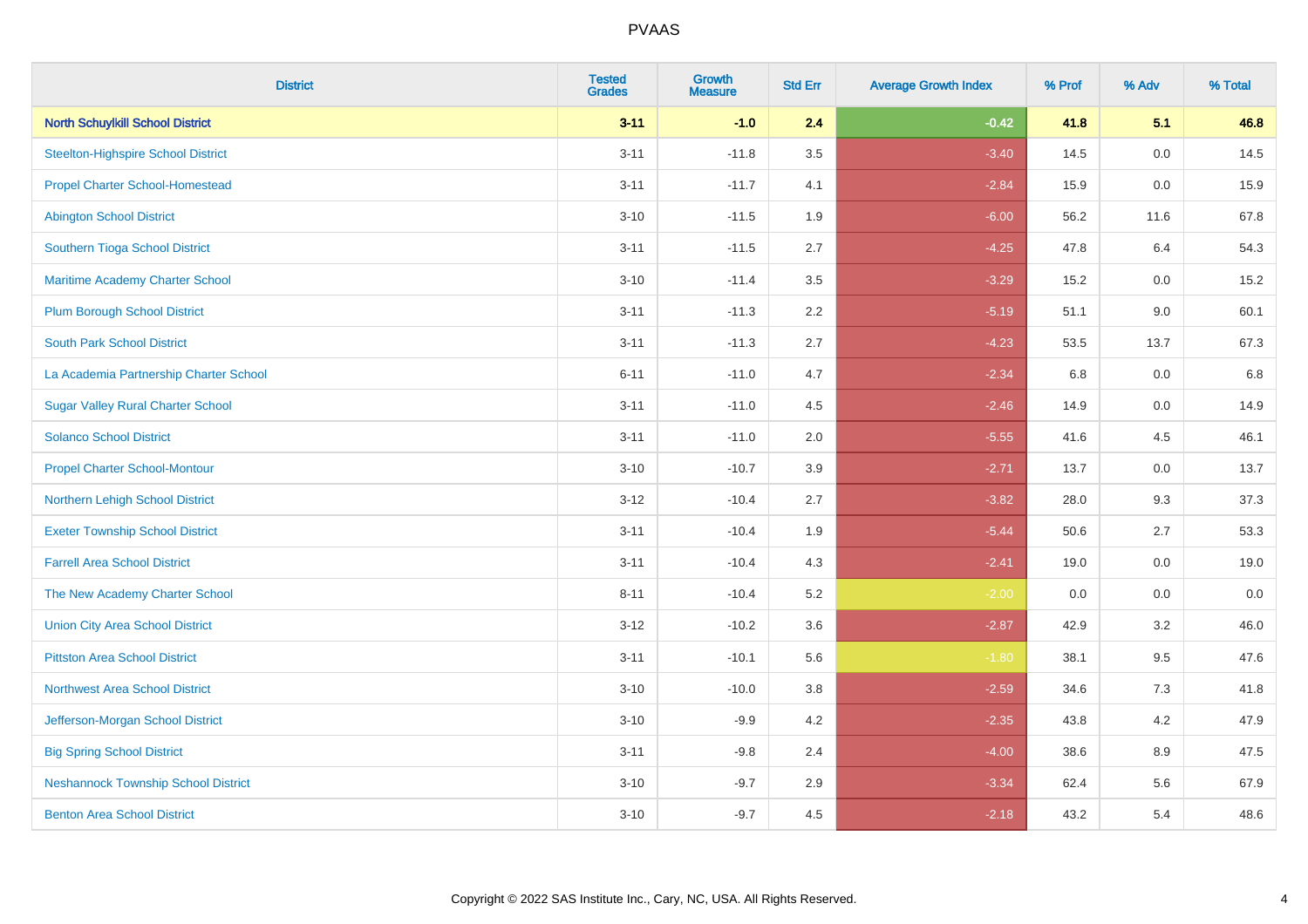| <b>District</b>                            | <b>Tested</b><br><b>Grades</b> | Growth<br><b>Measure</b> | <b>Std Err</b> | <b>Average Growth Index</b> | % Prof | % Adv | % Total |
|--------------------------------------------|--------------------------------|--------------------------|----------------|-----------------------------|--------|-------|---------|
| <b>North Schuylkill School District</b>    | $3 - 11$                       | $-1.0$                   | 2.4            | $-0.42$                     | 41.8   | 5.1   | 46.8    |
| <b>Steelton-Highspire School District</b>  | $3 - 11$                       | $-11.8$                  | 3.5            | $-3.40$                     | 14.5   | 0.0   | 14.5    |
| <b>Propel Charter School-Homestead</b>     | $3 - 11$                       | $-11.7$                  | 4.1            | $-2.84$                     | 15.9   | 0.0   | 15.9    |
| <b>Abington School District</b>            | $3 - 10$                       | $-11.5$                  | 1.9            | $-6.00$                     | 56.2   | 11.6  | 67.8    |
| Southern Tioga School District             | $3 - 11$                       | $-11.5$                  | 2.7            | $-4.25$                     | 47.8   | 6.4   | 54.3    |
| Maritime Academy Charter School            | $3 - 10$                       | $-11.4$                  | 3.5            | $-3.29$                     | 15.2   | 0.0   | 15.2    |
| <b>Plum Borough School District</b>        | $3 - 11$                       | $-11.3$                  | 2.2            | $-5.19$                     | 51.1   | 9.0   | 60.1    |
| <b>South Park School District</b>          | $3 - 11$                       | $-11.3$                  | 2.7            | $-4.23$                     | 53.5   | 13.7  | 67.3    |
| La Academia Partnership Charter School     | $6 - 11$                       | $-11.0$                  | 4.7            | $-2.34$                     | 6.8    | 0.0   | 6.8     |
| <b>Sugar Valley Rural Charter School</b>   | $3 - 11$                       | $-11.0$                  | 4.5            | $-2.46$                     | 14.9   | 0.0   | 14.9    |
| <b>Solanco School District</b>             | $3 - 11$                       | $-11.0$                  | 2.0            | $-5.55$                     | 41.6   | 4.5   | 46.1    |
| <b>Propel Charter School-Montour</b>       | $3 - 10$                       | $-10.7$                  | 3.9            | $-2.71$                     | 13.7   | 0.0   | 13.7    |
| Northern Lehigh School District            | $3 - 12$                       | $-10.4$                  | 2.7            | $-3.82$                     | 28.0   | 9.3   | 37.3    |
| <b>Exeter Township School District</b>     | $3 - 11$                       | $-10.4$                  | 1.9            | $-5.44$                     | 50.6   | 2.7   | 53.3    |
| <b>Farrell Area School District</b>        | $3 - 11$                       | $-10.4$                  | 4.3            | $-2.41$                     | 19.0   | 0.0   | 19.0    |
| The New Academy Charter School             | $8 - 11$                       | $-10.4$                  | 5.2            | $-2.00$                     | 0.0    | 0.0   | 0.0     |
| <b>Union City Area School District</b>     | $3 - 12$                       | $-10.2$                  | 3.6            | $-2.87$                     | 42.9   | 3.2   | 46.0    |
| <b>Pittston Area School District</b>       | $3 - 11$                       | $-10.1$                  | 5.6            | $-1.80$                     | 38.1   | 9.5   | 47.6    |
| <b>Northwest Area School District</b>      | $3 - 10$                       | $-10.0$                  | 3.8            | $-2.59$                     | 34.6   | 7.3   | 41.8    |
| Jefferson-Morgan School District           | $3 - 10$                       | $-9.9$                   | 4.2            | $-2.35$                     | 43.8   | 4.2   | 47.9    |
| <b>Big Spring School District</b>          | $3 - 11$                       | $-9.8$                   | 2.4            | $-4.00$                     | 38.6   | 8.9   | 47.5    |
| <b>Neshannock Township School District</b> | $3 - 10$                       | $-9.7$                   | 2.9            | $-3.34$                     | 62.4   | 5.6   | 67.9    |
| <b>Benton Area School District</b>         | $3 - 10$                       | $-9.7$                   | 4.5            | $-2.18$                     | 43.2   | 5.4   | 48.6    |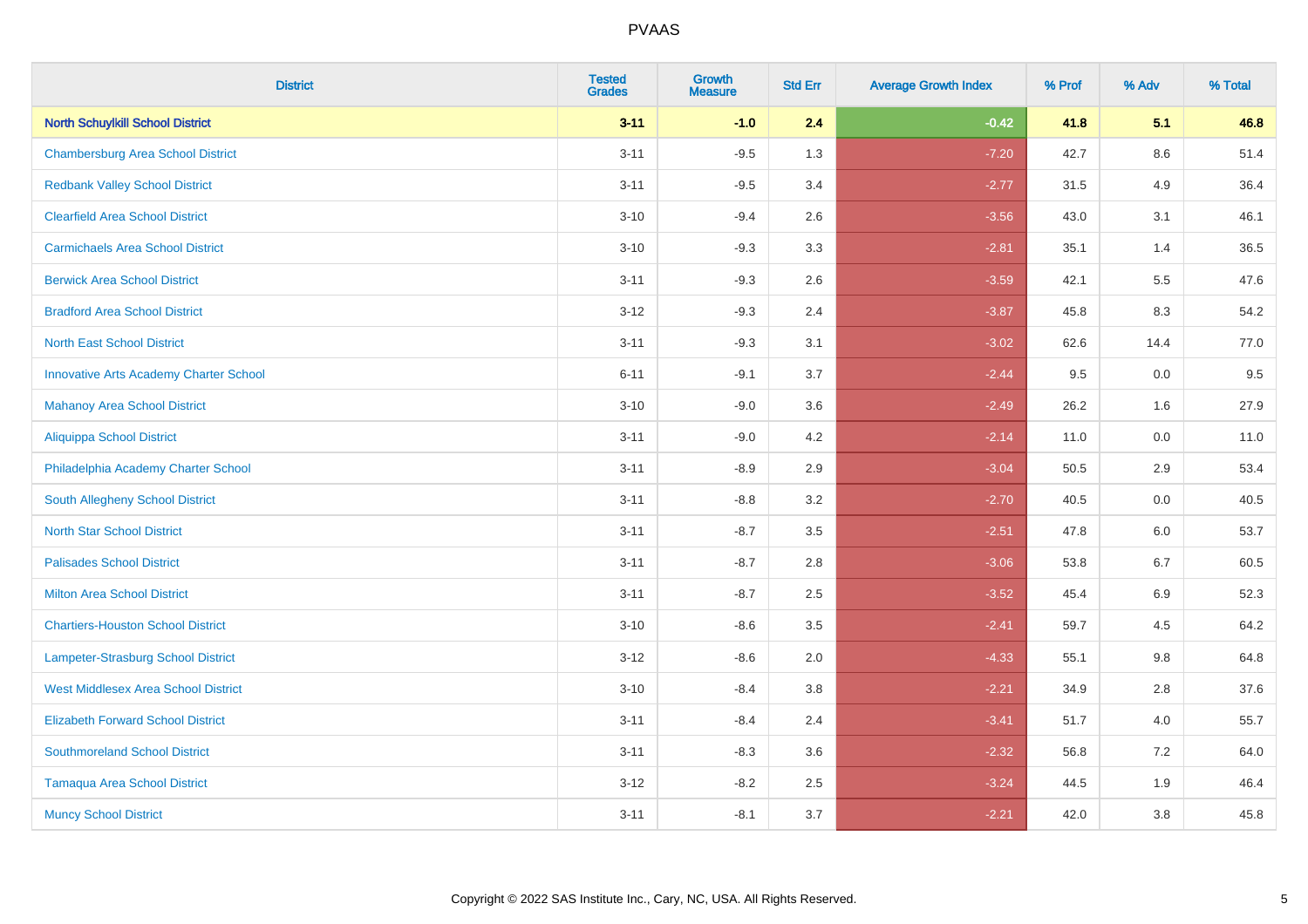| <b>District</b>                               | <b>Tested</b><br><b>Grades</b> | <b>Growth</b><br><b>Measure</b> | <b>Std Err</b> | <b>Average Growth Index</b> | % Prof | % Adv   | % Total |
|-----------------------------------------------|--------------------------------|---------------------------------|----------------|-----------------------------|--------|---------|---------|
| <b>North Schuylkill School District</b>       | $3 - 11$                       | $-1.0$                          | 2.4            | $-0.42$                     | 41.8   | 5.1     | 46.8    |
| <b>Chambersburg Area School District</b>      | $3 - 11$                       | $-9.5$                          | 1.3            | $-7.20$                     | 42.7   | $8.6\,$ | 51.4    |
| <b>Redbank Valley School District</b>         | $3 - 11$                       | $-9.5$                          | 3.4            | $-2.77$                     | 31.5   | 4.9     | 36.4    |
| <b>Clearfield Area School District</b>        | $3 - 10$                       | $-9.4$                          | 2.6            | $-3.56$                     | 43.0   | 3.1     | 46.1    |
| <b>Carmichaels Area School District</b>       | $3 - 10$                       | $-9.3$                          | 3.3            | $-2.81$                     | 35.1   | 1.4     | 36.5    |
| <b>Berwick Area School District</b>           | $3 - 11$                       | $-9.3$                          | 2.6            | $-3.59$                     | 42.1   | 5.5     | 47.6    |
| <b>Bradford Area School District</b>          | $3 - 12$                       | $-9.3$                          | 2.4            | $-3.87$                     | 45.8   | 8.3     | 54.2    |
| <b>North East School District</b>             | $3 - 11$                       | $-9.3$                          | 3.1            | $-3.02$                     | 62.6   | 14.4    | 77.0    |
| <b>Innovative Arts Academy Charter School</b> | $6 - 11$                       | $-9.1$                          | 3.7            | $-2.44$                     | 9.5    | 0.0     | 9.5     |
| <b>Mahanoy Area School District</b>           | $3 - 10$                       | $-9.0$                          | 3.6            | $-2.49$                     | 26.2   | 1.6     | 27.9    |
| Aliquippa School District                     | $3 - 11$                       | $-9.0$                          | 4.2            | $-2.14$                     | 11.0   | 0.0     | 11.0    |
| Philadelphia Academy Charter School           | $3 - 11$                       | $-8.9$                          | 2.9            | $-3.04$                     | 50.5   | 2.9     | 53.4    |
| South Allegheny School District               | $3 - 11$                       | $-8.8$                          | 3.2            | $-2.70$                     | 40.5   | 0.0     | 40.5    |
| <b>North Star School District</b>             | $3 - 11$                       | $-8.7$                          | 3.5            | $-2.51$                     | 47.8   | 6.0     | 53.7    |
| <b>Palisades School District</b>              | $3 - 11$                       | $-8.7$                          | 2.8            | $-3.06$                     | 53.8   | 6.7     | 60.5    |
| <b>Milton Area School District</b>            | $3 - 11$                       | $-8.7$                          | 2.5            | $-3.52$                     | 45.4   | $6.9\,$ | 52.3    |
| <b>Chartiers-Houston School District</b>      | $3 - 10$                       | $-8.6$                          | 3.5            | $-2.41$                     | 59.7   | 4.5     | 64.2    |
| Lampeter-Strasburg School District            | $3 - 12$                       | $-8.6$                          | 2.0            | $-4.33$                     | 55.1   | 9.8     | 64.8    |
| <b>West Middlesex Area School District</b>    | $3 - 10$                       | $-8.4$                          | 3.8            | $-2.21$                     | 34.9   | 2.8     | 37.6    |
| <b>Elizabeth Forward School District</b>      | $3 - 11$                       | $-8.4$                          | 2.4            | $-3.41$                     | 51.7   | 4.0     | 55.7    |
| <b>Southmoreland School District</b>          | $3 - 11$                       | $-8.3$                          | 3.6            | $-2.32$                     | 56.8   | 7.2     | 64.0    |
| <b>Tamaqua Area School District</b>           | $3 - 12$                       | $-8.2$                          | 2.5            | $-3.24$                     | 44.5   | 1.9     | 46.4    |
| <b>Muncy School District</b>                  | $3 - 11$                       | $-8.1$                          | 3.7            | $-2.21$                     | 42.0   | 3.8     | 45.8    |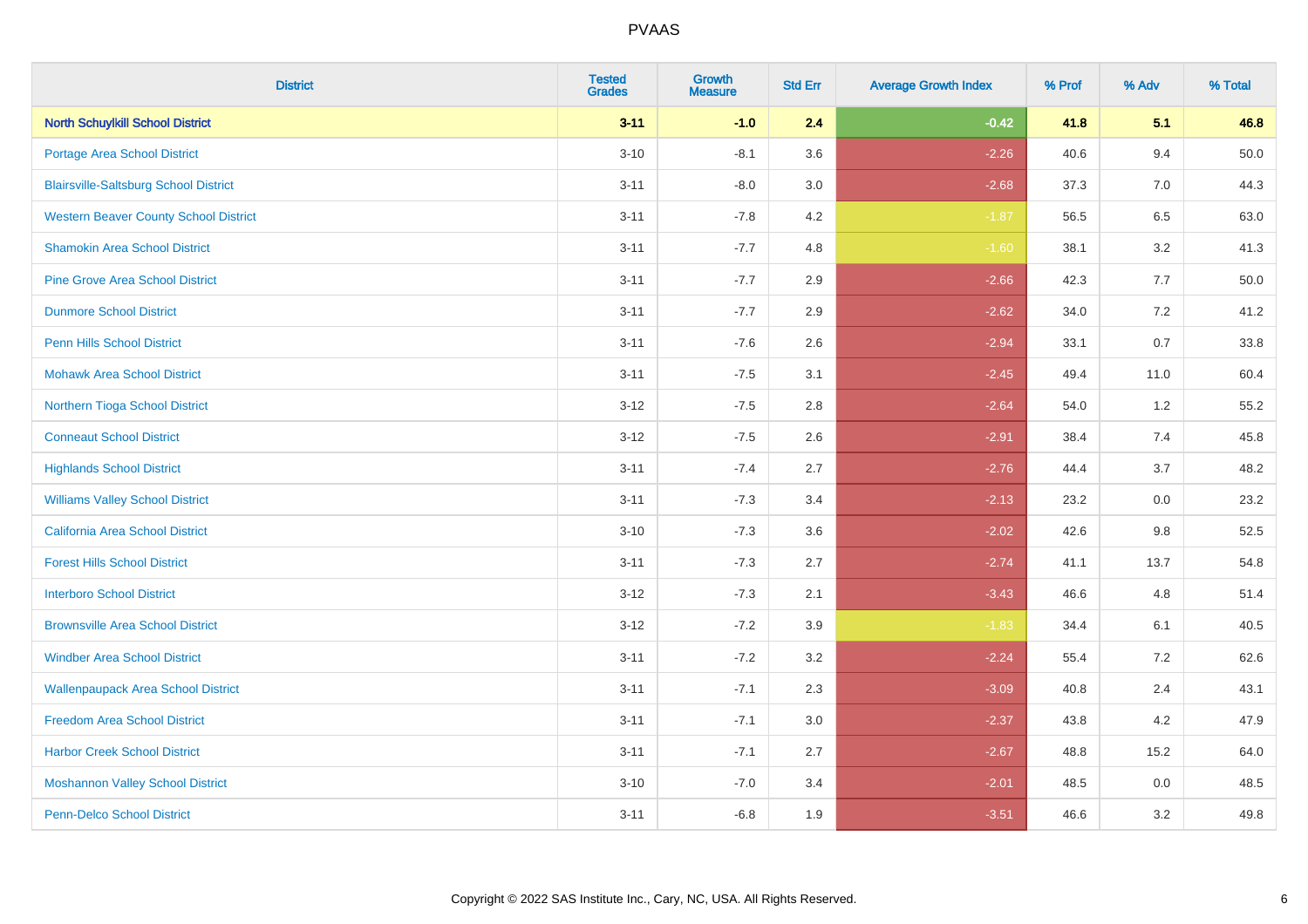| <b>District</b>                              | <b>Tested</b><br><b>Grades</b> | <b>Growth</b><br><b>Measure</b> | <b>Std Err</b> | <b>Average Growth Index</b> | % Prof | % Adv   | % Total  |
|----------------------------------------------|--------------------------------|---------------------------------|----------------|-----------------------------|--------|---------|----------|
| <b>North Schuylkill School District</b>      | $3 - 11$                       | $-1.0$                          | 2.4            | $-0.42$                     | 41.8   | 5.1     | 46.8     |
| Portage Area School District                 | $3 - 10$                       | $-8.1$                          | 3.6            | $-2.26$                     | 40.6   | 9.4     | $50.0\,$ |
| <b>Blairsville-Saltsburg School District</b> | $3 - 11$                       | $-8.0$                          | 3.0            | $-2.68$                     | 37.3   | 7.0     | 44.3     |
| <b>Western Beaver County School District</b> | $3 - 11$                       | $-7.8$                          | 4.2            | $-1.87$                     | 56.5   | 6.5     | 63.0     |
| <b>Shamokin Area School District</b>         | $3 - 11$                       | $-7.7$                          | 4.8            | $-1.60$                     | 38.1   | 3.2     | 41.3     |
| <b>Pine Grove Area School District</b>       | $3 - 11$                       | $-7.7$                          | 2.9            | $-2.66$                     | 42.3   | 7.7     | 50.0     |
| <b>Dunmore School District</b>               | $3 - 11$                       | $-7.7$                          | 2.9            | $-2.62$                     | 34.0   | 7.2     | 41.2     |
| <b>Penn Hills School District</b>            | $3 - 11$                       | $-7.6$                          | 2.6            | $-2.94$                     | 33.1   | 0.7     | 33.8     |
| <b>Mohawk Area School District</b>           | $3 - 11$                       | $-7.5$                          | 3.1            | $-2.45$                     | 49.4   | 11.0    | 60.4     |
| Northern Tioga School District               | $3-12$                         | $-7.5$                          | 2.8            | $-2.64$                     | 54.0   | $1.2\,$ | 55.2     |
| <b>Conneaut School District</b>              | $3-12$                         | $-7.5$                          | 2.6            | $-2.91$                     | 38.4   | 7.4     | 45.8     |
| <b>Highlands School District</b>             | $3 - 11$                       | $-7.4$                          | 2.7            | $-2.76$                     | 44.4   | 3.7     | 48.2     |
| <b>Williams Valley School District</b>       | $3 - 11$                       | $-7.3$                          | 3.4            | $-2.13$                     | 23.2   | $0.0\,$ | 23.2     |
| California Area School District              | $3 - 10$                       | $-7.3$                          | 3.6            | $-2.02$                     | 42.6   | $9.8\,$ | 52.5     |
| <b>Forest Hills School District</b>          | $3 - 11$                       | $-7.3$                          | 2.7            | $-2.74$                     | 41.1   | 13.7    | 54.8     |
| <b>Interboro School District</b>             | $3 - 12$                       | $-7.3$                          | 2.1            | $-3.43$                     | 46.6   | 4.8     | 51.4     |
| <b>Brownsville Area School District</b>      | $3 - 12$                       | $-7.2$                          | 3.9            | $-1.83$                     | 34.4   | 6.1     | 40.5     |
| <b>Windber Area School District</b>          | $3 - 11$                       | $-7.2$                          | 3.2            | $-2.24$                     | 55.4   | 7.2     | 62.6     |
| <b>Wallenpaupack Area School District</b>    | $3 - 11$                       | $-7.1$                          | 2.3            | $-3.09$                     | 40.8   | 2.4     | 43.1     |
| <b>Freedom Area School District</b>          | $3 - 11$                       | $-7.1$                          | 3.0            | $-2.37$                     | 43.8   | 4.2     | 47.9     |
| <b>Harbor Creek School District</b>          | $3 - 11$                       | $-7.1$                          | 2.7            | $-2.67$                     | 48.8   | 15.2    | 64.0     |
| <b>Moshannon Valley School District</b>      | $3 - 10$                       | $-7.0$                          | 3.4            | $-2.01$                     | 48.5   | $0.0\,$ | 48.5     |
| Penn-Delco School District                   | $3 - 11$                       | $-6.8$                          | 1.9            | $-3.51$                     | 46.6   | 3.2     | 49.8     |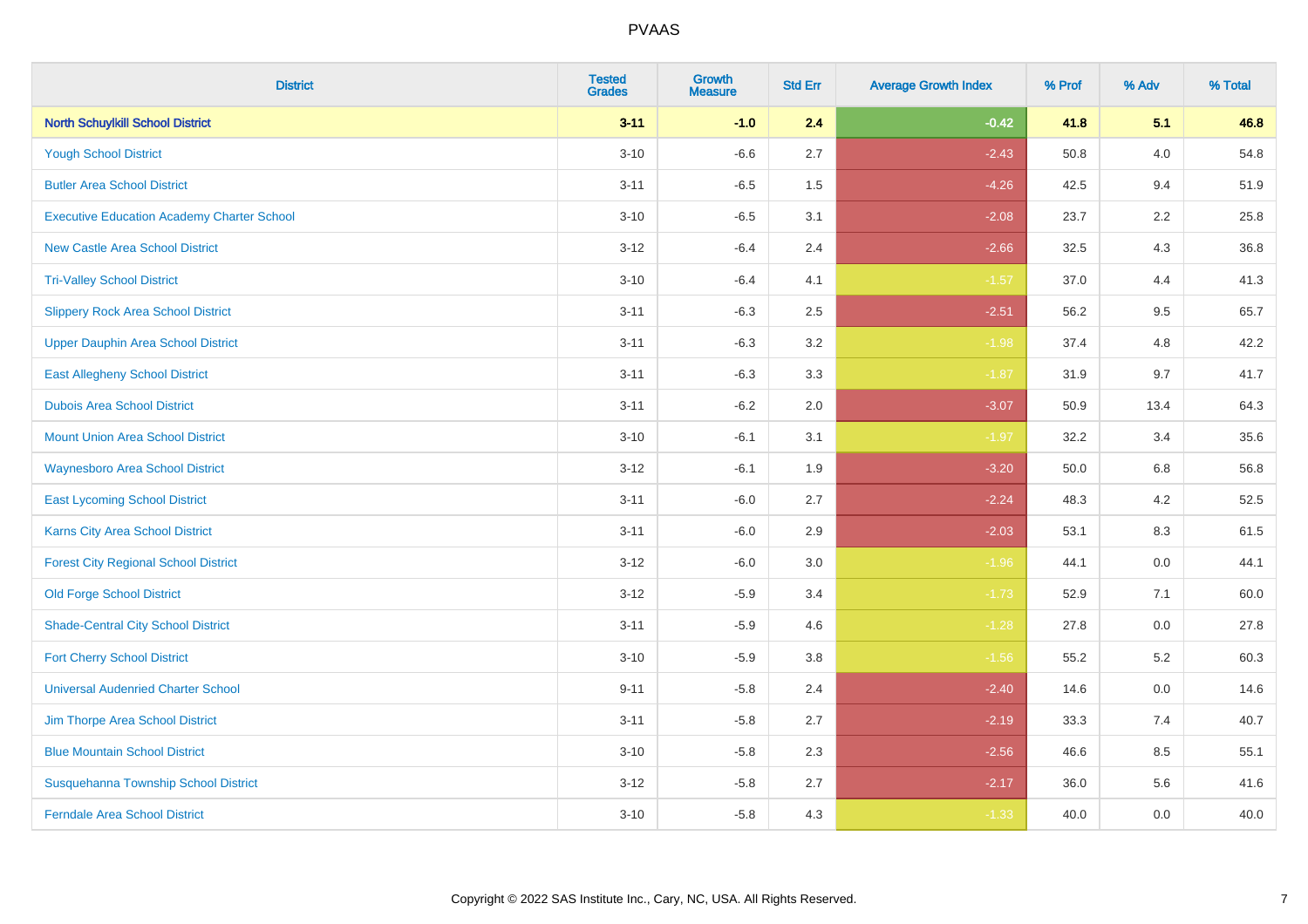| <b>District</b>                                   | <b>Tested</b><br><b>Grades</b> | <b>Growth</b><br><b>Measure</b> | <b>Std Err</b> | <b>Average Growth Index</b> | % Prof | % Adv   | % Total |
|---------------------------------------------------|--------------------------------|---------------------------------|----------------|-----------------------------|--------|---------|---------|
| <b>North Schuylkill School District</b>           | $3 - 11$                       | $-1.0$                          | 2.4            | $-0.42$                     | 41.8   | 5.1     | 46.8    |
| <b>Yough School District</b>                      | $3 - 10$                       | $-6.6$                          | 2.7            | $-2.43$                     | 50.8   | 4.0     | 54.8    |
| <b>Butler Area School District</b>                | $3 - 11$                       | $-6.5$                          | 1.5            | $-4.26$                     | 42.5   | 9.4     | 51.9    |
| <b>Executive Education Academy Charter School</b> | $3 - 10$                       | $-6.5$                          | 3.1            | $-2.08$                     | 23.7   | 2.2     | 25.8    |
| <b>New Castle Area School District</b>            | $3-12$                         | $-6.4$                          | 2.4            | $-2.66$                     | 32.5   | 4.3     | 36.8    |
| <b>Tri-Valley School District</b>                 | $3 - 10$                       | $-6.4$                          | 4.1            | $-1.57$                     | 37.0   | 4.4     | 41.3    |
| <b>Slippery Rock Area School District</b>         | $3 - 11$                       | $-6.3$                          | 2.5            | $-2.51$                     | 56.2   | 9.5     | 65.7    |
| <b>Upper Dauphin Area School District</b>         | $3 - 11$                       | $-6.3$                          | 3.2            | $-1.98$                     | 37.4   | 4.8     | 42.2    |
| <b>East Allegheny School District</b>             | $3 - 11$                       | $-6.3$                          | 3.3            | $-1.87$                     | 31.9   | 9.7     | 41.7    |
| <b>Dubois Area School District</b>                | $3 - 11$                       | $-6.2$                          | 2.0            | $-3.07$                     | 50.9   | 13.4    | 64.3    |
| <b>Mount Union Area School District</b>           | $3 - 10$                       | $-6.1$                          | 3.1            | $-1.97$                     | 32.2   | 3.4     | 35.6    |
| <b>Waynesboro Area School District</b>            | $3 - 12$                       | $-6.1$                          | 1.9            | $-3.20$                     | 50.0   | 6.8     | 56.8    |
| <b>East Lycoming School District</b>              | $3 - 11$                       | $-6.0$                          | 2.7            | $-2.24$                     | 48.3   | 4.2     | 52.5    |
| Karns City Area School District                   | $3 - 11$                       | $-6.0$                          | 2.9            | $-2.03$                     | 53.1   | 8.3     | 61.5    |
| <b>Forest City Regional School District</b>       | $3-12$                         | $-6.0$                          | $3.0\,$        | $-1.96$                     | 44.1   | $0.0\,$ | 44.1    |
| <b>Old Forge School District</b>                  | $3 - 12$                       | $-5.9$                          | 3.4            | $-1.73$                     | 52.9   | 7.1     | 60.0    |
| <b>Shade-Central City School District</b>         | $3 - 11$                       | $-5.9$                          | 4.6            | $-1.28$                     | 27.8   | 0.0     | 27.8    |
| <b>Fort Cherry School District</b>                | $3 - 10$                       | $-5.9$                          | 3.8            | $-1.56$                     | 55.2   | 5.2     | 60.3    |
| <b>Universal Audenried Charter School</b>         | $9 - 11$                       | $-5.8$                          | 2.4            | $-2.40$                     | 14.6   | $0.0\,$ | 14.6    |
| Jim Thorpe Area School District                   | $3 - 11$                       | $-5.8$                          | 2.7            | $-2.19$                     | 33.3   | 7.4     | 40.7    |
| <b>Blue Mountain School District</b>              | $3 - 10$                       | $-5.8$                          | 2.3            | $-2.56$                     | 46.6   | 8.5     | 55.1    |
| Susquehanna Township School District              | $3 - 12$                       | $-5.8$                          | 2.7            | $-2.17$                     | 36.0   | 5.6     | 41.6    |
| <b>Ferndale Area School District</b>              | $3 - 10$                       | $-5.8$                          | 4.3            | $-1.33$                     | 40.0   | 0.0     | 40.0    |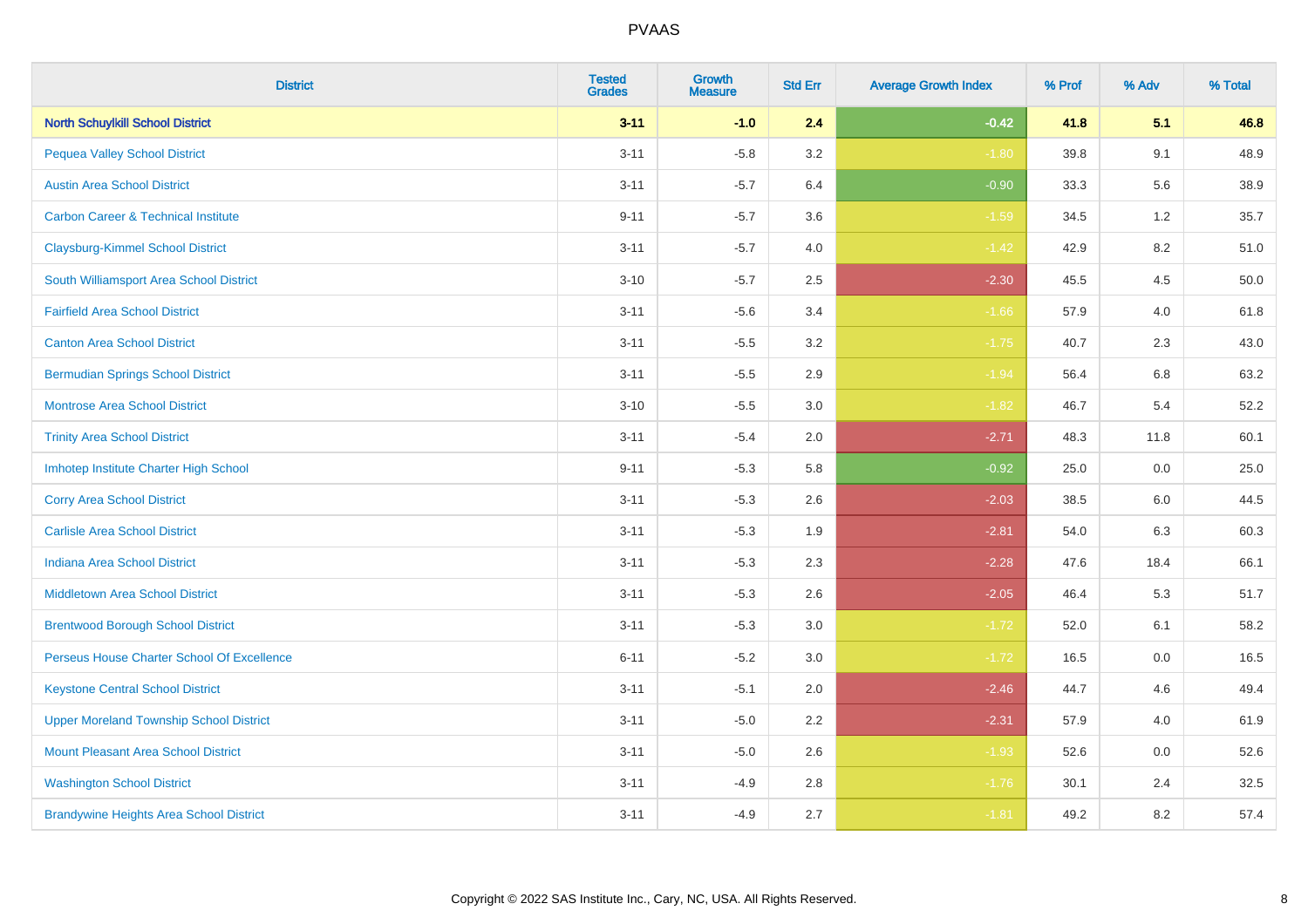| <b>District</b>                                | <b>Tested</b><br><b>Grades</b> | <b>Growth</b><br><b>Measure</b> | <b>Std Err</b> | <b>Average Growth Index</b> | % Prof | % Adv   | % Total |
|------------------------------------------------|--------------------------------|---------------------------------|----------------|-----------------------------|--------|---------|---------|
| <b>North Schuylkill School District</b>        | $3 - 11$                       | $-1.0$                          | 2.4            | $-0.42$                     | 41.8   | 5.1     | 46.8    |
| <b>Pequea Valley School District</b>           | $3 - 11$                       | $-5.8$                          | 3.2            | $-1.80$                     | 39.8   | 9.1     | 48.9    |
| <b>Austin Area School District</b>             | $3 - 11$                       | $-5.7$                          | 6.4            | $-0.90$                     | 33.3   | 5.6     | 38.9    |
| <b>Carbon Career &amp; Technical Institute</b> | $9 - 11$                       | $-5.7$                          | 3.6            | $-1.59$                     | 34.5   | $1.2\,$ | 35.7    |
| <b>Claysburg-Kimmel School District</b>        | $3 - 11$                       | $-5.7$                          | 4.0            | $-1.42$                     | 42.9   | 8.2     | 51.0    |
| South Williamsport Area School District        | $3 - 10$                       | $-5.7$                          | 2.5            | $-2.30$                     | 45.5   | 4.5     | 50.0    |
| <b>Fairfield Area School District</b>          | $3 - 11$                       | $-5.6$                          | 3.4            | $-1.66$                     | 57.9   | 4.0     | 61.8    |
| <b>Canton Area School District</b>             | $3 - 11$                       | $-5.5$                          | 3.2            | $-1.75$                     | 40.7   | 2.3     | 43.0    |
| <b>Bermudian Springs School District</b>       | $3 - 11$                       | $-5.5$                          | 2.9            | $-1.94$                     | 56.4   | 6.8     | 63.2    |
| <b>Montrose Area School District</b>           | $3 - 10$                       | $-5.5$                          | 3.0            | $-1.82$                     | 46.7   | 5.4     | 52.2    |
| <b>Trinity Area School District</b>            | $3 - 11$                       | $-5.4$                          | 2.0            | $-2.71$                     | 48.3   | 11.8    | 60.1    |
| Imhotep Institute Charter High School          | $9 - 11$                       | $-5.3$                          | 5.8            | $-0.92$                     | 25.0   | 0.0     | 25.0    |
| <b>Corry Area School District</b>              | $3 - 11$                       | $-5.3$                          | 2.6            | $-2.03$                     | 38.5   | 6.0     | 44.5    |
| <b>Carlisle Area School District</b>           | $3 - 11$                       | $-5.3$                          | 1.9            | $-2.81$                     | 54.0   | 6.3     | 60.3    |
| <b>Indiana Area School District</b>            | $3 - 11$                       | $-5.3$                          | 2.3            | $-2.28$                     | 47.6   | 18.4    | 66.1    |
| <b>Middletown Area School District</b>         | $3 - 11$                       | $-5.3$                          | 2.6            | $-2.05$                     | 46.4   | 5.3     | 51.7    |
| <b>Brentwood Borough School District</b>       | $3 - 11$                       | $-5.3$                          | 3.0            | $-1.72$                     | 52.0   | 6.1     | 58.2    |
| Perseus House Charter School Of Excellence     | $6 - 11$                       | $-5.2$                          | 3.0            | $-1.72$                     | 16.5   | 0.0     | 16.5    |
| <b>Keystone Central School District</b>        | $3 - 11$                       | $-5.1$                          | 2.0            | $-2.46$                     | 44.7   | 4.6     | 49.4    |
| <b>Upper Moreland Township School District</b> | $3 - 11$                       | $-5.0$                          | 2.2            | $-2.31$                     | 57.9   | 4.0     | 61.9    |
| <b>Mount Pleasant Area School District</b>     | $3 - 11$                       | $-5.0$                          | 2.6            | $-1.93$                     | 52.6   | 0.0     | 52.6    |
| <b>Washington School District</b>              | $3 - 11$                       | $-4.9$                          | 2.8            | $-1.76$                     | 30.1   | 2.4     | 32.5    |
| <b>Brandywine Heights Area School District</b> | $3 - 11$                       | $-4.9$                          | 2.7            | $-1.81$                     | 49.2   | 8.2     | 57.4    |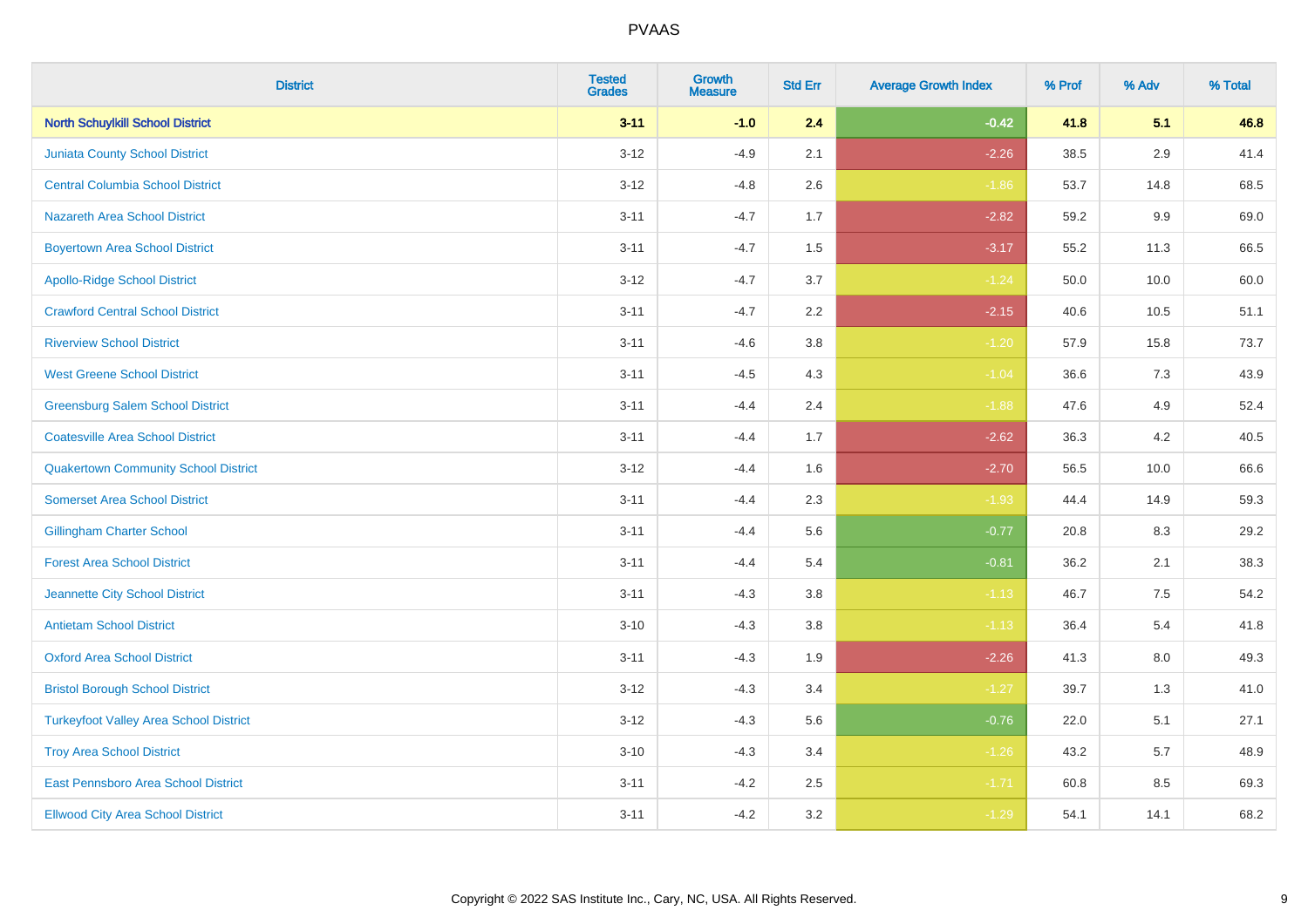| <b>District</b>                               | <b>Tested</b><br><b>Grades</b> | <b>Growth</b><br><b>Measure</b> | <b>Std Err</b> | <b>Average Growth Index</b> | % Prof | % Adv   | % Total |
|-----------------------------------------------|--------------------------------|---------------------------------|----------------|-----------------------------|--------|---------|---------|
| <b>North Schuylkill School District</b>       | $3 - 11$                       | $-1.0$                          | 2.4            | $-0.42$                     | 41.8   | 5.1     | 46.8    |
| <b>Juniata County School District</b>         | $3 - 12$                       | $-4.9$                          | 2.1            | $-2.26$                     | 38.5   | $2.9\,$ | 41.4    |
| <b>Central Columbia School District</b>       | $3 - 12$                       | $-4.8$                          | 2.6            | $-1.86$                     | 53.7   | 14.8    | 68.5    |
| <b>Nazareth Area School District</b>          | $3 - 11$                       | $-4.7$                          | 1.7            | $-2.82$                     | 59.2   | 9.9     | 69.0    |
| <b>Boyertown Area School District</b>         | $3 - 11$                       | $-4.7$                          | 1.5            | $-3.17$                     | 55.2   | 11.3    | 66.5    |
| <b>Apollo-Ridge School District</b>           | $3 - 12$                       | $-4.7$                          | 3.7            | $-1.24$                     | 50.0   | 10.0    | 60.0    |
| <b>Crawford Central School District</b>       | $3 - 11$                       | $-4.7$                          | 2.2            | $-2.15$                     | 40.6   | 10.5    | 51.1    |
| <b>Riverview School District</b>              | $3 - 11$                       | $-4.6$                          | 3.8            | $-1.20$                     | 57.9   | 15.8    | 73.7    |
| <b>West Greene School District</b>            | $3 - 11$                       | $-4.5$                          | 4.3            | $-1.04$                     | 36.6   | 7.3     | 43.9    |
| <b>Greensburg Salem School District</b>       | $3 - 11$                       | $-4.4$                          | 2.4            | $-1.88$                     | 47.6   | 4.9     | 52.4    |
| <b>Coatesville Area School District</b>       | $3 - 11$                       | $-4.4$                          | 1.7            | $-2.62$                     | 36.3   | 4.2     | 40.5    |
| <b>Quakertown Community School District</b>   | $3 - 12$                       | $-4.4$                          | 1.6            | $-2.70$                     | 56.5   | 10.0    | 66.6    |
| <b>Somerset Area School District</b>          | $3 - 11$                       | $-4.4$                          | 2.3            | $-1.93$                     | 44.4   | 14.9    | 59.3    |
| <b>Gillingham Charter School</b>              | $3 - 11$                       | $-4.4$                          | 5.6            | $-0.77$                     | 20.8   | 8.3     | 29.2    |
| <b>Forest Area School District</b>            | $3 - 11$                       | $-4.4$                          | 5.4            | $-0.81$                     | 36.2   | 2.1     | 38.3    |
| Jeannette City School District                | $3 - 11$                       | $-4.3$                          | $3.8\,$        | $-1.13$                     | 46.7   | $7.5\,$ | 54.2    |
| <b>Antietam School District</b>               | $3 - 10$                       | $-4.3$                          | 3.8            | $-1.13$                     | 36.4   | 5.4     | 41.8    |
| <b>Oxford Area School District</b>            | $3 - 11$                       | $-4.3$                          | 1.9            | $-2.26$                     | 41.3   | 8.0     | 49.3    |
| <b>Bristol Borough School District</b>        | $3 - 12$                       | $-4.3$                          | 3.4            | $-1.27$                     | 39.7   | 1.3     | 41.0    |
| <b>Turkeyfoot Valley Area School District</b> | $3 - 12$                       | $-4.3$                          | 5.6            | $-0.76$                     | 22.0   | 5.1     | 27.1    |
| <b>Troy Area School District</b>              | $3 - 10$                       | $-4.3$                          | 3.4            | $-1.26$                     | 43.2   | 5.7     | 48.9    |
| East Pennsboro Area School District           | $3 - 11$                       | $-4.2$                          | 2.5            | $-1.71$                     | 60.8   | 8.5     | 69.3    |
| <b>Ellwood City Area School District</b>      | $3 - 11$                       | $-4.2$                          | 3.2            | $-1.29$                     | 54.1   | 14.1    | 68.2    |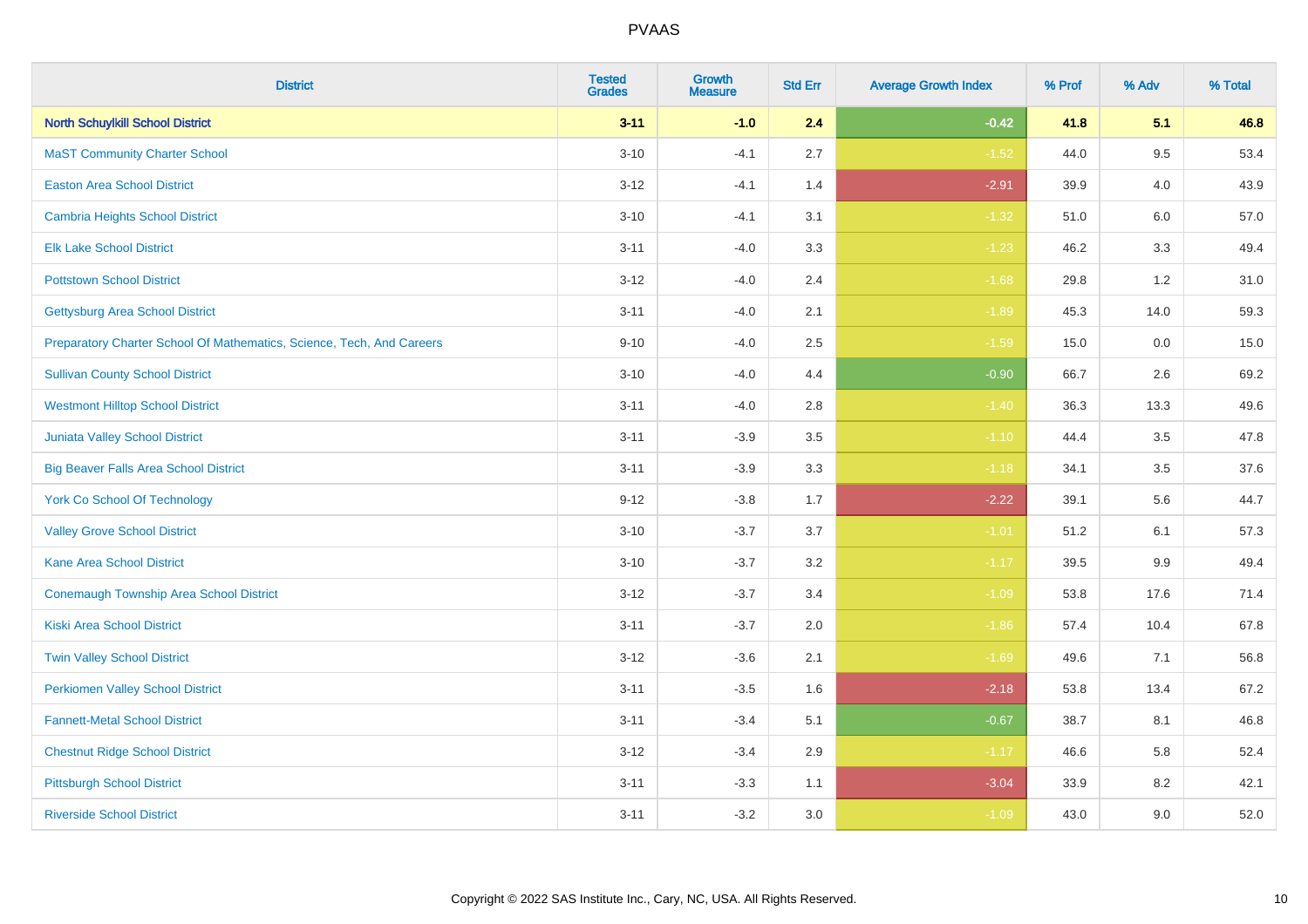| <b>District</b>                                                       | <b>Tested</b><br><b>Grades</b> | <b>Growth</b><br><b>Measure</b> | <b>Std Err</b> | <b>Average Growth Index</b> | % Prof | % Adv   | % Total |
|-----------------------------------------------------------------------|--------------------------------|---------------------------------|----------------|-----------------------------|--------|---------|---------|
| <b>North Schuylkill School District</b>                               | $3 - 11$                       | $-1.0$                          | 2.4            | $-0.42$                     | 41.8   | 5.1     | 46.8    |
| <b>MaST Community Charter School</b>                                  | $3 - 10$                       | $-4.1$                          | 2.7            | $-1.52$                     | 44.0   | 9.5     | 53.4    |
| <b>Easton Area School District</b>                                    | $3 - 12$                       | $-4.1$                          | 1.4            | $-2.91$                     | 39.9   | 4.0     | 43.9    |
| <b>Cambria Heights School District</b>                                | $3 - 10$                       | $-4.1$                          | 3.1            | $-1.32$                     | 51.0   | $6.0\,$ | 57.0    |
| <b>Elk Lake School District</b>                                       | $3 - 11$                       | $-4.0$                          | 3.3            | $-1.23$                     | 46.2   | 3.3     | 49.4    |
| <b>Pottstown School District</b>                                      | $3 - 12$                       | $-4.0$                          | 2.4            | $-1.68$                     | 29.8   | 1.2     | 31.0    |
| <b>Gettysburg Area School District</b>                                | $3 - 11$                       | $-4.0$                          | 2.1            | $-1.89$                     | 45.3   | 14.0    | 59.3    |
| Preparatory Charter School Of Mathematics, Science, Tech, And Careers | $9 - 10$                       | $-4.0$                          | 2.5            | $-1.59$                     | 15.0   | 0.0     | 15.0    |
| <b>Sullivan County School District</b>                                | $3 - 10$                       | $-4.0$                          | 4.4            | $-0.90$                     | 66.7   | 2.6     | 69.2    |
| <b>Westmont Hilltop School District</b>                               | $3 - 11$                       | $-4.0$                          | 2.8            | $-1.40$                     | 36.3   | 13.3    | 49.6    |
| <b>Juniata Valley School District</b>                                 | $3 - 11$                       | $-3.9$                          | 3.5            | $-1.10$                     | 44.4   | 3.5     | 47.8    |
| <b>Big Beaver Falls Area School District</b>                          | $3 - 11$                       | $-3.9$                          | 3.3            | $-1.18$                     | 34.1   | 3.5     | 37.6    |
| <b>York Co School Of Technology</b>                                   | $9 - 12$                       | $-3.8$                          | 1.7            | $-2.22$                     | 39.1   | 5.6     | 44.7    |
| <b>Valley Grove School District</b>                                   | $3 - 10$                       | $-3.7$                          | 3.7            | $-1.01$                     | 51.2   | 6.1     | 57.3    |
| <b>Kane Area School District</b>                                      | $3 - 10$                       | $-3.7$                          | 3.2            | $-1.17$                     | 39.5   | 9.9     | 49.4    |
| <b>Conemaugh Township Area School District</b>                        | $3 - 12$                       | $-3.7$                          | 3.4            | $-1.09$                     | 53.8   | 17.6    | 71.4    |
| <b>Kiski Area School District</b>                                     | $3 - 11$                       | $-3.7$                          | 2.0            | $-1.86$                     | 57.4   | 10.4    | 67.8    |
| <b>Twin Valley School District</b>                                    | $3 - 12$                       | $-3.6$                          | 2.1            | $-1.69$                     | 49.6   | 7.1     | 56.8    |
| <b>Perkiomen Valley School District</b>                               | $3 - 11$                       | $-3.5$                          | 1.6            | $-2.18$                     | 53.8   | 13.4    | 67.2    |
| <b>Fannett-Metal School District</b>                                  | $3 - 11$                       | $-3.4$                          | 5.1            | $-0.67$                     | 38.7   | 8.1     | 46.8    |
| <b>Chestnut Ridge School District</b>                                 | $3 - 12$                       | $-3.4$                          | 2.9            | $-1.17$                     | 46.6   | 5.8     | 52.4    |
| <b>Pittsburgh School District</b>                                     | $3 - 11$                       | $-3.3$                          | 1.1            | $-3.04$                     | 33.9   | 8.2     | 42.1    |
| <b>Riverside School District</b>                                      | $3 - 11$                       | $-3.2$                          | 3.0            | $-1.09$                     | 43.0   | 9.0     | 52.0    |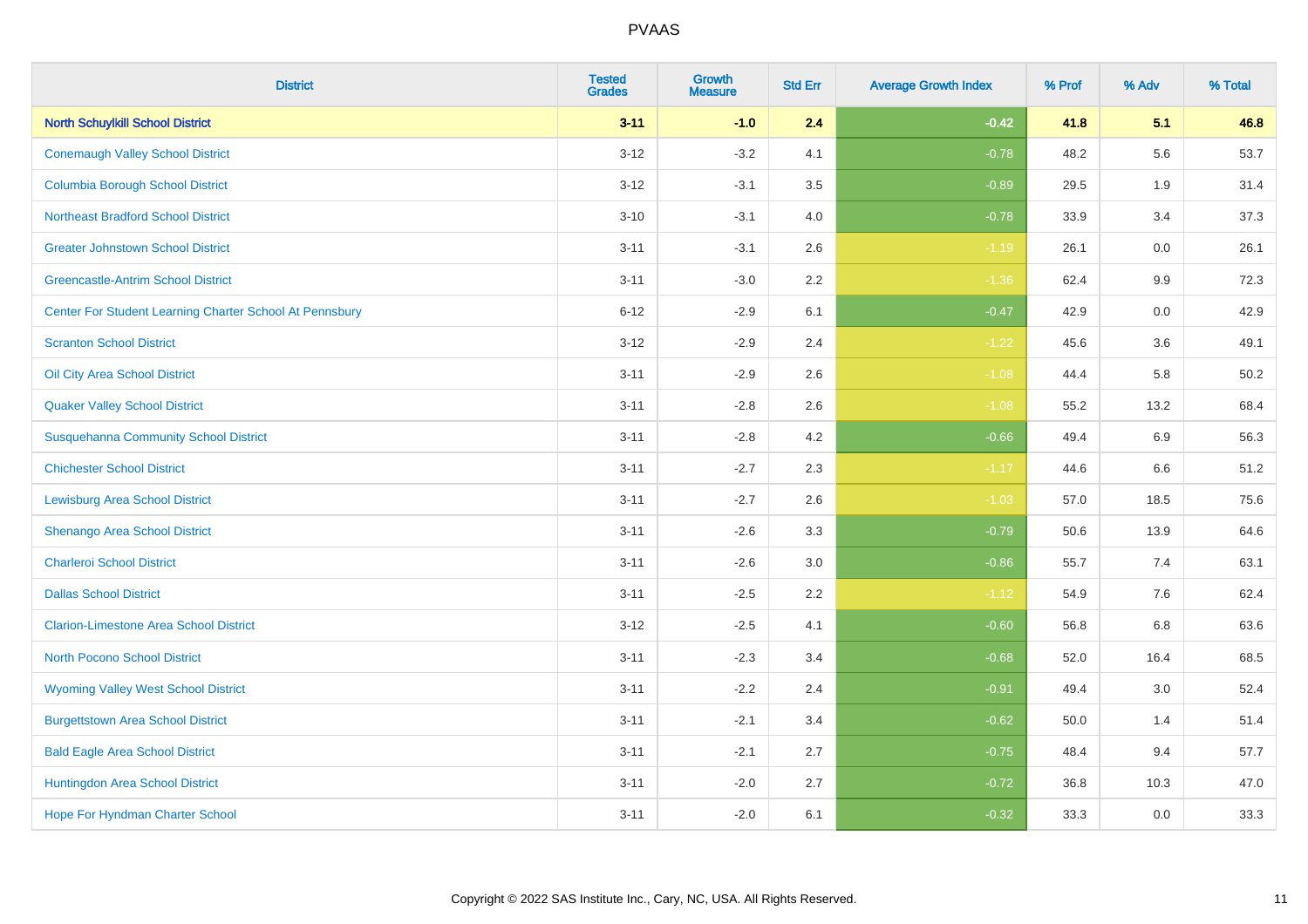| <b>District</b>                                         | <b>Tested</b><br><b>Grades</b> | <b>Growth</b><br><b>Measure</b> | <b>Std Err</b> | <b>Average Growth Index</b> | % Prof | % Adv   | % Total |
|---------------------------------------------------------|--------------------------------|---------------------------------|----------------|-----------------------------|--------|---------|---------|
| <b>North Schuylkill School District</b>                 | $3 - 11$                       | $-1.0$                          | 2.4            | $-0.42$                     | 41.8   | 5.1     | 46.8    |
| <b>Conemaugh Valley School District</b>                 | $3 - 12$                       | $-3.2$                          | 4.1            | $-0.78$                     | 48.2   | 5.6     | 53.7    |
| <b>Columbia Borough School District</b>                 | $3 - 12$                       | $-3.1$                          | 3.5            | $-0.89$                     | 29.5   | 1.9     | 31.4    |
| <b>Northeast Bradford School District</b>               | $3 - 10$                       | $-3.1$                          | 4.0            | $-0.78$                     | 33.9   | 3.4     | 37.3    |
| <b>Greater Johnstown School District</b>                | $3 - 11$                       | $-3.1$                          | 2.6            | $-1.19$                     | 26.1   | 0.0     | 26.1    |
| <b>Greencastle-Antrim School District</b>               | $3 - 11$                       | $-3.0$                          | 2.2            | $-1.36$                     | 62.4   | 9.9     | 72.3    |
| Center For Student Learning Charter School At Pennsbury | $6 - 12$                       | $-2.9$                          | 6.1            | $-0.47$                     | 42.9   | 0.0     | 42.9    |
| <b>Scranton School District</b>                         | $3 - 12$                       | $-2.9$                          | 2.4            | $-1.22$                     | 45.6   | 3.6     | 49.1    |
| Oil City Area School District                           | $3 - 11$                       | $-2.9$                          | 2.6            | $-1.08$                     | 44.4   | 5.8     | 50.2    |
| <b>Quaker Valley School District</b>                    | $3 - 11$                       | $-2.8$                          | 2.6            | $-1.08$                     | 55.2   | 13.2    | 68.4    |
| <b>Susquehanna Community School District</b>            | $3 - 11$                       | $-2.8$                          | 4.2            | $-0.66$                     | 49.4   | 6.9     | 56.3    |
| <b>Chichester School District</b>                       | $3 - 11$                       | $-2.7$                          | 2.3            | $-1.17$                     | 44.6   | 6.6     | 51.2    |
| <b>Lewisburg Area School District</b>                   | $3 - 11$                       | $-2.7$                          | 2.6            | $-1.03$                     | 57.0   | 18.5    | 75.6    |
| Shenango Area School District                           | $3 - 11$                       | $-2.6$                          | 3.3            | $-0.79$                     | 50.6   | 13.9    | 64.6    |
| <b>Charleroi School District</b>                        | $3 - 11$                       | $-2.6$                          | 3.0            | $-0.86$                     | 55.7   | 7.4     | 63.1    |
| <b>Dallas School District</b>                           | $3 - 11$                       | $-2.5$                          | 2.2            | $-1.12$                     | 54.9   | $7.6\,$ | 62.4    |
| <b>Clarion-Limestone Area School District</b>           | $3 - 12$                       | $-2.5$                          | 4.1            | $-0.60$                     | 56.8   | 6.8     | 63.6    |
| North Pocono School District                            | $3 - 11$                       | $-2.3$                          | 3.4            | $-0.68$                     | 52.0   | 16.4    | 68.5    |
| <b>Wyoming Valley West School District</b>              | $3 - 11$                       | $-2.2$                          | 2.4            | $-0.91$                     | 49.4   | 3.0     | 52.4    |
| <b>Burgettstown Area School District</b>                | $3 - 11$                       | $-2.1$                          | 3.4            | $-0.62$                     | 50.0   | 1.4     | 51.4    |
| <b>Bald Eagle Area School District</b>                  | $3 - 11$                       | $-2.1$                          | 2.7            | $-0.75$                     | 48.4   | 9.4     | 57.7    |
| Huntingdon Area School District                         | $3 - 11$                       | $-2.0$                          | 2.7            | $-0.72$                     | 36.8   | 10.3    | 47.0    |
| <b>Hope For Hyndman Charter School</b>                  | $3 - 11$                       | $-2.0$                          | 6.1            | $-0.32$                     | 33.3   | 0.0     | 33.3    |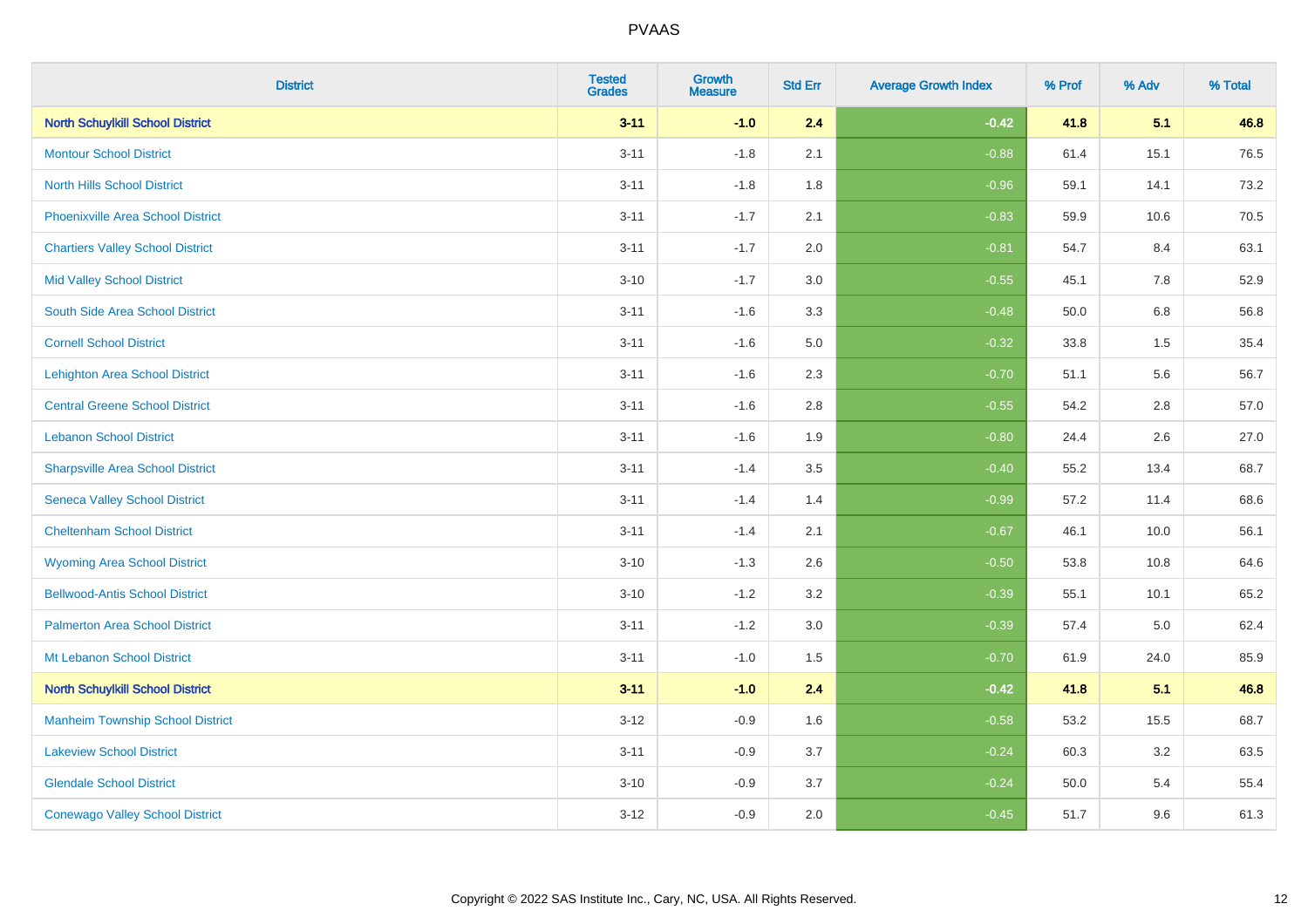| <b>District</b>                          | <b>Tested</b><br><b>Grades</b> | <b>Growth</b><br><b>Measure</b> | <b>Std Err</b> | <b>Average Growth Index</b> | % Prof | % Adv   | % Total |
|------------------------------------------|--------------------------------|---------------------------------|----------------|-----------------------------|--------|---------|---------|
| <b>North Schuylkill School District</b>  | $3 - 11$                       | $-1.0$                          | 2.4            | $-0.42$                     | 41.8   | 5.1     | 46.8    |
| <b>Montour School District</b>           | $3 - 11$                       | $-1.8$                          | 2.1            | $-0.88$                     | 61.4   | 15.1    | 76.5    |
| <b>North Hills School District</b>       | $3 - 11$                       | $-1.8$                          | 1.8            | $-0.96$                     | 59.1   | 14.1    | 73.2    |
| <b>Phoenixville Area School District</b> | $3 - 11$                       | $-1.7$                          | 2.1            | $-0.83$                     | 59.9   | 10.6    | 70.5    |
| <b>Chartiers Valley School District</b>  | $3 - 11$                       | $-1.7$                          | 2.0            | $-0.81$                     | 54.7   | 8.4     | 63.1    |
| <b>Mid Valley School District</b>        | $3 - 10$                       | $-1.7$                          | 3.0            | $-0.55$                     | 45.1   | 7.8     | 52.9    |
| South Side Area School District          | $3 - 11$                       | $-1.6$                          | 3.3            | $-0.48$                     | 50.0   | $6.8\,$ | 56.8    |
| <b>Cornell School District</b>           | $3 - 11$                       | $-1.6$                          | 5.0            | $-0.32$                     | 33.8   | 1.5     | 35.4    |
| <b>Lehighton Area School District</b>    | $3 - 11$                       | $-1.6$                          | 2.3            | $-0.70$                     | 51.1   | 5.6     | 56.7    |
| <b>Central Greene School District</b>    | $3 - 11$                       | $-1.6$                          | $2.8\,$        | $-0.55$                     | 54.2   | $2.8\,$ | 57.0    |
| <b>Lebanon School District</b>           | $3 - 11$                       | $-1.6$                          | 1.9            | $-0.80$                     | 24.4   | 2.6     | 27.0    |
| <b>Sharpsville Area School District</b>  | $3 - 11$                       | $-1.4$                          | 3.5            | $-0.40$                     | 55.2   | 13.4    | 68.7    |
| <b>Seneca Valley School District</b>     | $3 - 11$                       | $-1.4$                          | 1.4            | $-0.99$                     | 57.2   | 11.4    | 68.6    |
| <b>Cheltenham School District</b>        | $3 - 11$                       | $-1.4$                          | 2.1            | $-0.67$                     | 46.1   | 10.0    | 56.1    |
| <b>Wyoming Area School District</b>      | $3 - 10$                       | $-1.3$                          | 2.6            | $-0.50$                     | 53.8   | 10.8    | 64.6    |
| <b>Bellwood-Antis School District</b>    | $3 - 10$                       | $-1.2$                          | 3.2            | $-0.39$                     | 55.1   | 10.1    | 65.2    |
| <b>Palmerton Area School District</b>    | $3 - 11$                       | $-1.2$                          | 3.0            | $-0.39$                     | 57.4   | 5.0     | 62.4    |
| Mt Lebanon School District               | $3 - 11$                       | $-1.0$                          | 1.5            | $-0.70$                     | 61.9   | 24.0    | 85.9    |
| <b>North Schuylkill School District</b>  | $3 - 11$                       | $-1.0$                          | 2.4            | $-0.42$                     | 41.8   | 5.1     | 46.8    |
| <b>Manheim Township School District</b>  | $3 - 12$                       | $-0.9$                          | 1.6            | $-0.58$                     | 53.2   | 15.5    | 68.7    |
| <b>Lakeview School District</b>          | $3 - 11$                       | $-0.9$                          | 3.7            | $-0.24$                     | 60.3   | 3.2     | 63.5    |
| <b>Glendale School District</b>          | $3 - 10$                       | $-0.9$                          | 3.7            | $-0.24$                     | 50.0   | 5.4     | 55.4    |
| <b>Conewago Valley School District</b>   | $3 - 12$                       | $-0.9$                          | 2.0            | $-0.45$                     | 51.7   | 9.6     | 61.3    |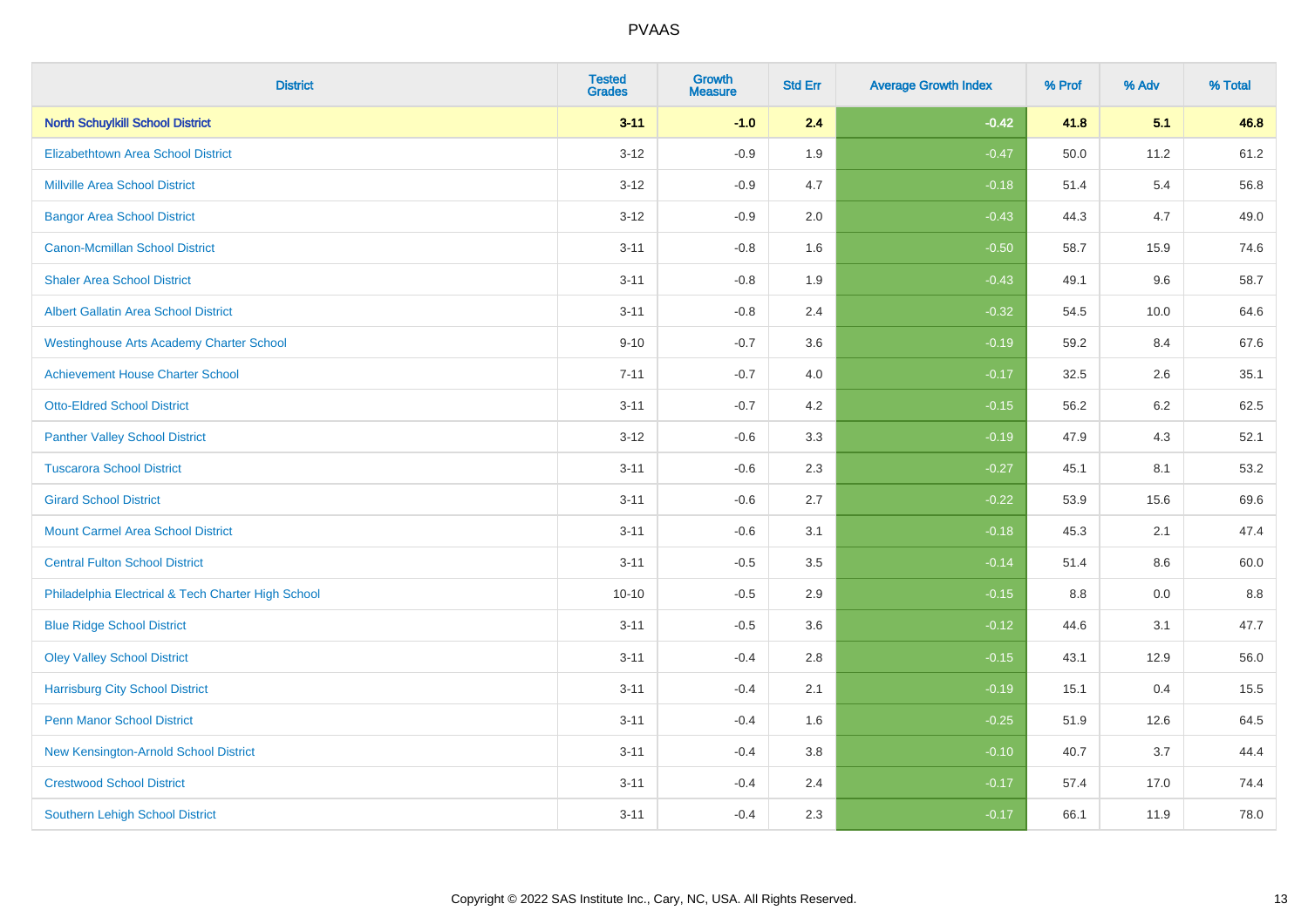| <b>District</b>                                    | <b>Tested</b><br><b>Grades</b> | <b>Growth</b><br><b>Measure</b> | <b>Std Err</b> | <b>Average Growth Index</b> | % Prof | % Adv   | % Total |
|----------------------------------------------------|--------------------------------|---------------------------------|----------------|-----------------------------|--------|---------|---------|
| <b>North Schuylkill School District</b>            | $3 - 11$                       | $-1.0$                          | 2.4            | $-0.42$                     | 41.8   | 5.1     | 46.8    |
| <b>Elizabethtown Area School District</b>          | $3 - 12$                       | $-0.9$                          | 1.9            | $-0.47$                     | 50.0   | 11.2    | 61.2    |
| <b>Millville Area School District</b>              | $3 - 12$                       | $-0.9$                          | 4.7            | $-0.18$                     | 51.4   | 5.4     | 56.8    |
| <b>Bangor Area School District</b>                 | $3 - 12$                       | $-0.9$                          | 2.0            | $-0.43$                     | 44.3   | 4.7     | 49.0    |
| <b>Canon-Mcmillan School District</b>              | $3 - 11$                       | $-0.8$                          | 1.6            | $-0.50$                     | 58.7   | 15.9    | 74.6    |
| <b>Shaler Area School District</b>                 | $3 - 11$                       | $-0.8$                          | 1.9            | $-0.43$                     | 49.1   | 9.6     | 58.7    |
| <b>Albert Gallatin Area School District</b>        | $3 - 11$                       | $-0.8$                          | 2.4            | $-0.32$                     | 54.5   | 10.0    | 64.6    |
| <b>Westinghouse Arts Academy Charter School</b>    | $9 - 10$                       | $-0.7$                          | 3.6            | $-0.19$                     | 59.2   | 8.4     | 67.6    |
| <b>Achievement House Charter School</b>            | $7 - 11$                       | $-0.7$                          | 4.0            | $-0.17$                     | 32.5   | 2.6     | 35.1    |
| <b>Otto-Eldred School District</b>                 | $3 - 11$                       | $-0.7$                          | 4.2            | $-0.15$                     | 56.2   | $6.2\,$ | 62.5    |
| <b>Panther Valley School District</b>              | $3 - 12$                       | $-0.6$                          | 3.3            | $-0.19$                     | 47.9   | 4.3     | 52.1    |
| <b>Tuscarora School District</b>                   | $3 - 11$                       | $-0.6$                          | 2.3            | $-0.27$                     | 45.1   | 8.1     | 53.2    |
| <b>Girard School District</b>                      | $3 - 11$                       | $-0.6$                          | 2.7            | $-0.22$                     | 53.9   | 15.6    | 69.6    |
| <b>Mount Carmel Area School District</b>           | $3 - 11$                       | $-0.6$                          | 3.1            | $-0.18$                     | 45.3   | 2.1     | 47.4    |
| <b>Central Fulton School District</b>              | $3 - 11$                       | $-0.5$                          | 3.5            | $-0.14$                     | 51.4   | 8.6     | 60.0    |
| Philadelphia Electrical & Tech Charter High School | $10 - 10$                      | $-0.5$                          | 2.9            | $-0.15$                     | 8.8    | 0.0     | 8.8     |
| <b>Blue Ridge School District</b>                  | $3 - 11$                       | $-0.5$                          | 3.6            | $-0.12$                     | 44.6   | 3.1     | 47.7    |
| <b>Oley Valley School District</b>                 | $3 - 11$                       | $-0.4$                          | 2.8            | $-0.15$                     | 43.1   | 12.9    | 56.0    |
| <b>Harrisburg City School District</b>             | $3 - 11$                       | $-0.4$                          | 2.1            | $-0.19$                     | 15.1   | 0.4     | 15.5    |
| <b>Penn Manor School District</b>                  | $3 - 11$                       | $-0.4$                          | 1.6            | $-0.25$                     | 51.9   | 12.6    | 64.5    |
| New Kensington-Arnold School District              | $3 - 11$                       | $-0.4$                          | 3.8            | $-0.10$                     | 40.7   | 3.7     | 44.4    |
| <b>Crestwood School District</b>                   | $3 - 11$                       | $-0.4$                          | 2.4            | $-0.17$                     | 57.4   | 17.0    | 74.4    |
| <b>Southern Lehigh School District</b>             | $3 - 11$                       | $-0.4$                          | 2.3            | $-0.17$                     | 66.1   | 11.9    | 78.0    |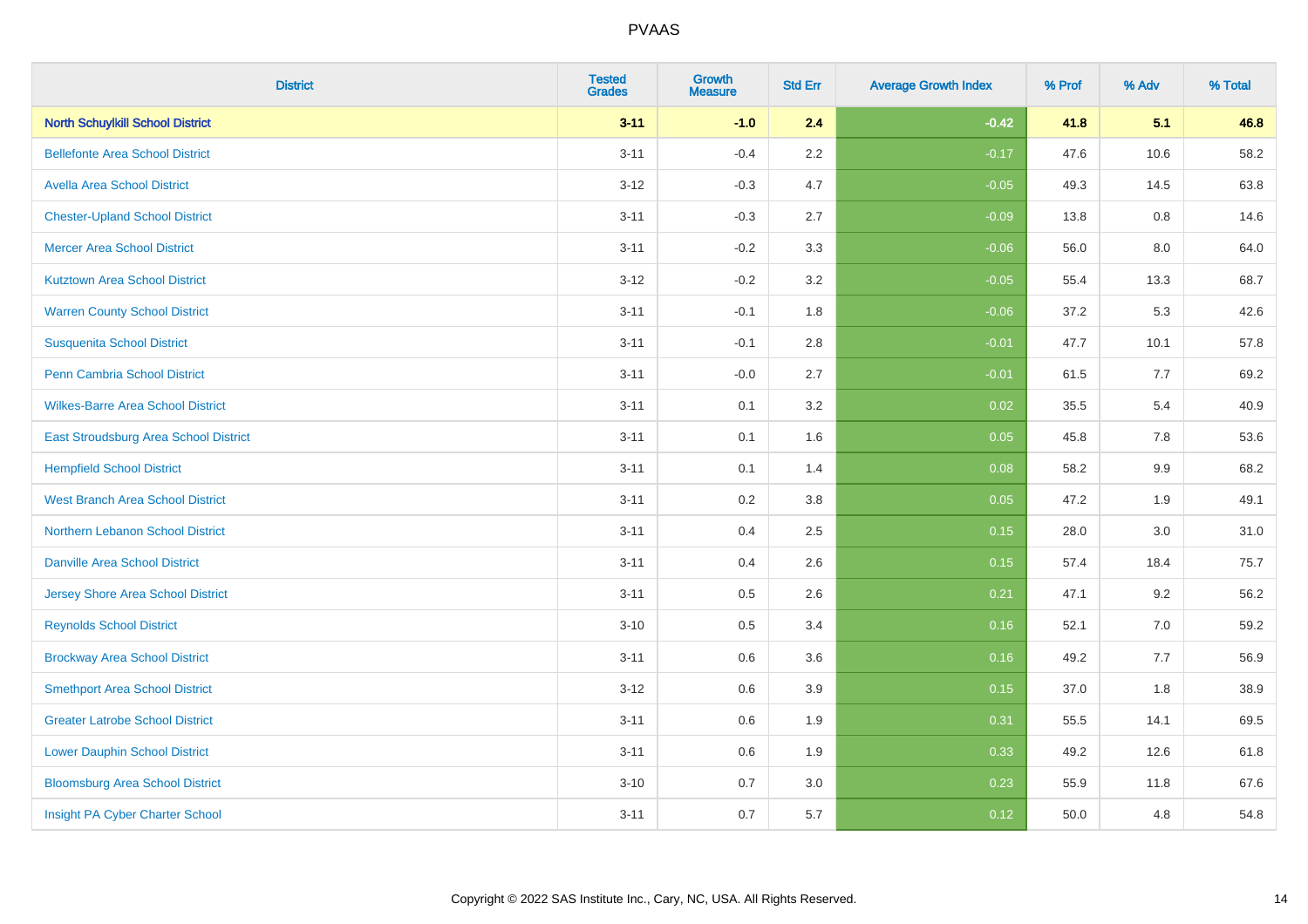| <b>District</b>                          | <b>Tested</b><br><b>Grades</b> | <b>Growth</b><br><b>Measure</b> | <b>Std Err</b> | <b>Average Growth Index</b> | % Prof | % Adv | % Total |
|------------------------------------------|--------------------------------|---------------------------------|----------------|-----------------------------|--------|-------|---------|
| <b>North Schuylkill School District</b>  | $3 - 11$                       | $-1.0$                          | 2.4            | $-0.42$                     | 41.8   | 5.1   | 46.8    |
| <b>Bellefonte Area School District</b>   | $3 - 11$                       | $-0.4$                          | $2.2\,$        | $-0.17$                     | 47.6   | 10.6  | 58.2    |
| <b>Avella Area School District</b>       | $3 - 12$                       | $-0.3$                          | 4.7            | $-0.05$                     | 49.3   | 14.5  | 63.8    |
| <b>Chester-Upland School District</b>    | $3 - 11$                       | $-0.3$                          | 2.7            | $-0.09$                     | 13.8   | 0.8   | 14.6    |
| <b>Mercer Area School District</b>       | $3 - 11$                       | $-0.2$                          | 3.3            | $-0.06$                     | 56.0   | 8.0   | 64.0    |
| <b>Kutztown Area School District</b>     | $3 - 12$                       | $-0.2$                          | 3.2            | $-0.05$                     | 55.4   | 13.3  | 68.7    |
| <b>Warren County School District</b>     | $3 - 11$                       | $-0.1$                          | 1.8            | $-0.06$                     | 37.2   | 5.3   | 42.6    |
| <b>Susquenita School District</b>        | $3 - 11$                       | $-0.1$                          | $2.8\,$        | $-0.01$                     | 47.7   | 10.1  | 57.8    |
| Penn Cambria School District             | $3 - 11$                       | $-0.0$                          | 2.7            | $-0.01$                     | 61.5   | 7.7   | 69.2    |
| <b>Wilkes-Barre Area School District</b> | $3 - 11$                       | 0.1                             | 3.2            | 0.02                        | 35.5   | 5.4   | 40.9    |
| East Stroudsburg Area School District    | $3 - 11$                       | 0.1                             | 1.6            | 0.05                        | 45.8   | 7.8   | 53.6    |
| <b>Hempfield School District</b>         | $3 - 11$                       | 0.1                             | 1.4            | 0.08                        | 58.2   | 9.9   | 68.2    |
| <b>West Branch Area School District</b>  | $3 - 11$                       | 0.2                             | $3.8\,$        | 0.05                        | 47.2   | 1.9   | 49.1    |
| Northern Lebanon School District         | $3 - 11$                       | 0.4                             | 2.5            | 0.15                        | 28.0   | 3.0   | 31.0    |
| <b>Danville Area School District</b>     | $3 - 11$                       | 0.4                             | 2.6            | 0.15                        | 57.4   | 18.4  | 75.7    |
| <b>Jersey Shore Area School District</b> | $3 - 11$                       | 0.5                             | 2.6            | 0.21                        | 47.1   | 9.2   | 56.2    |
| <b>Reynolds School District</b>          | $3 - 10$                       | 0.5                             | 3.4            | 0.16                        | 52.1   | 7.0   | 59.2    |
| <b>Brockway Area School District</b>     | $3 - 11$                       | 0.6                             | 3.6            | 0.16                        | 49.2   | 7.7   | 56.9    |
| <b>Smethport Area School District</b>    | $3 - 12$                       | 0.6                             | 3.9            | 0.15                        | 37.0   | 1.8   | 38.9    |
| <b>Greater Latrobe School District</b>   | $3 - 11$                       | 0.6                             | 1.9            | 0.31                        | 55.5   | 14.1  | 69.5    |
| <b>Lower Dauphin School District</b>     | $3 - 11$                       | 0.6                             | 1.9            | 0.33                        | 49.2   | 12.6  | 61.8    |
| <b>Bloomsburg Area School District</b>   | $3 - 10$                       | 0.7                             | 3.0            | 0.23                        | 55.9   | 11.8  | 67.6    |
| Insight PA Cyber Charter School          | $3 - 11$                       | 0.7                             | 5.7            | 0.12                        | 50.0   | 4.8   | 54.8    |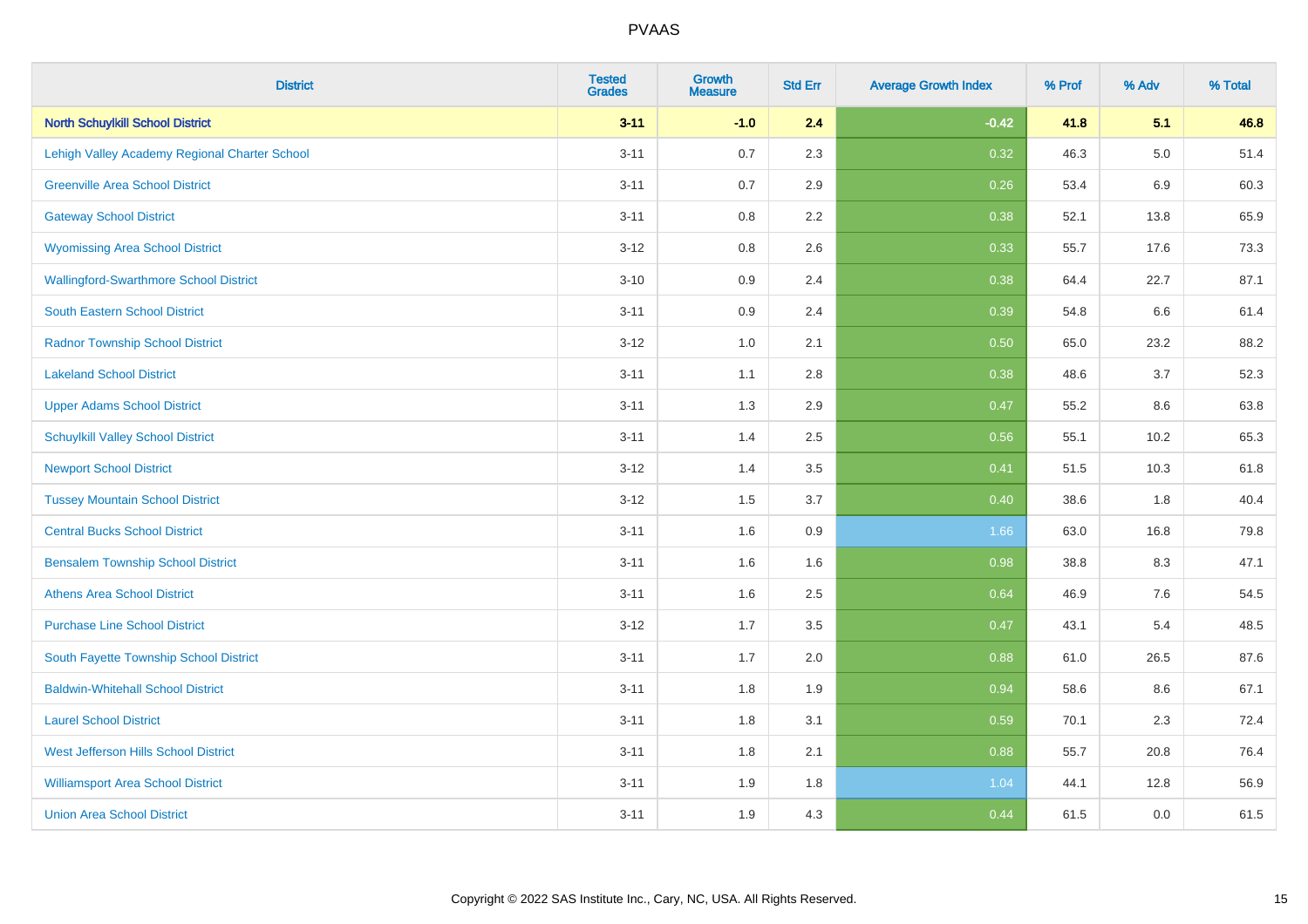| <b>District</b>                               | <b>Tested</b><br><b>Grades</b> | <b>Growth</b><br><b>Measure</b> | <b>Std Err</b> | <b>Average Growth Index</b> | % Prof | % Adv   | % Total |
|-----------------------------------------------|--------------------------------|---------------------------------|----------------|-----------------------------|--------|---------|---------|
| <b>North Schuylkill School District</b>       | $3 - 11$                       | $-1.0$                          | 2.4            | $-0.42$                     | 41.8   | 5.1     | 46.8    |
| Lehigh Valley Academy Regional Charter School | $3 - 11$                       | 0.7                             | 2.3            | 0.32                        | 46.3   | $5.0\,$ | 51.4    |
| <b>Greenville Area School District</b>        | $3 - 11$                       | 0.7                             | 2.9            | 0.26                        | 53.4   | 6.9     | 60.3    |
| <b>Gateway School District</b>                | $3 - 11$                       | 0.8                             | 2.2            | 0.38                        | 52.1   | 13.8    | 65.9    |
| <b>Wyomissing Area School District</b>        | $3 - 12$                       | 0.8                             | 2.6            | 0.33                        | 55.7   | 17.6    | 73.3    |
| <b>Wallingford-Swarthmore School District</b> | $3 - 10$                       | 0.9                             | 2.4            | 0.38                        | 64.4   | 22.7    | 87.1    |
| South Eastern School District                 | $3 - 11$                       | 0.9                             | 2.4            | 0.39                        | 54.8   | 6.6     | 61.4    |
| <b>Radnor Township School District</b>        | $3 - 12$                       | 1.0                             | 2.1            | 0.50                        | 65.0   | 23.2    | 88.2    |
| <b>Lakeland School District</b>               | $3 - 11$                       | 1.1                             | 2.8            | 0.38                        | 48.6   | 3.7     | 52.3    |
| <b>Upper Adams School District</b>            | $3 - 11$                       | 1.3                             | 2.9            | 0.47                        | 55.2   | 8.6     | 63.8    |
| <b>Schuylkill Valley School District</b>      | $3 - 11$                       | 1.4                             | 2.5            | 0.56                        | 55.1   | 10.2    | 65.3    |
| <b>Newport School District</b>                | $3 - 12$                       | 1.4                             | 3.5            | 0.41                        | 51.5   | 10.3    | 61.8    |
| <b>Tussey Mountain School District</b>        | $3 - 12$                       | 1.5                             | 3.7            | 0.40                        | 38.6   | $1.8\,$ | 40.4    |
| <b>Central Bucks School District</b>          | $3 - 11$                       | 1.6                             | 0.9            | 1.66                        | 63.0   | 16.8    | 79.8    |
| <b>Bensalem Township School District</b>      | $3 - 11$                       | 1.6                             | 1.6            | 0.98                        | 38.8   | 8.3     | 47.1    |
| <b>Athens Area School District</b>            | $3 - 11$                       | 1.6                             | 2.5            | 0.64                        | 46.9   | 7.6     | 54.5    |
| <b>Purchase Line School District</b>          | $3 - 12$                       | 1.7                             | 3.5            | 0.47                        | 43.1   | 5.4     | 48.5    |
| South Fayette Township School District        | $3 - 11$                       | 1.7                             | 2.0            | 0.88                        | 61.0   | 26.5    | 87.6    |
| <b>Baldwin-Whitehall School District</b>      | $3 - 11$                       | 1.8                             | 1.9            | 0.94                        | 58.6   | 8.6     | 67.1    |
| <b>Laurel School District</b>                 | $3 - 11$                       | 1.8                             | 3.1            | 0.59                        | 70.1   | 2.3     | 72.4    |
| West Jefferson Hills School District          | $3 - 11$                       | 1.8                             | 2.1            | 0.88                        | 55.7   | 20.8    | 76.4    |
| <b>Williamsport Area School District</b>      | $3 - 11$                       | 1.9                             | 1.8            | 1.04                        | 44.1   | 12.8    | 56.9    |
| <b>Union Area School District</b>             | $3 - 11$                       | 1.9                             | 4.3            | 0.44                        | 61.5   | 0.0     | 61.5    |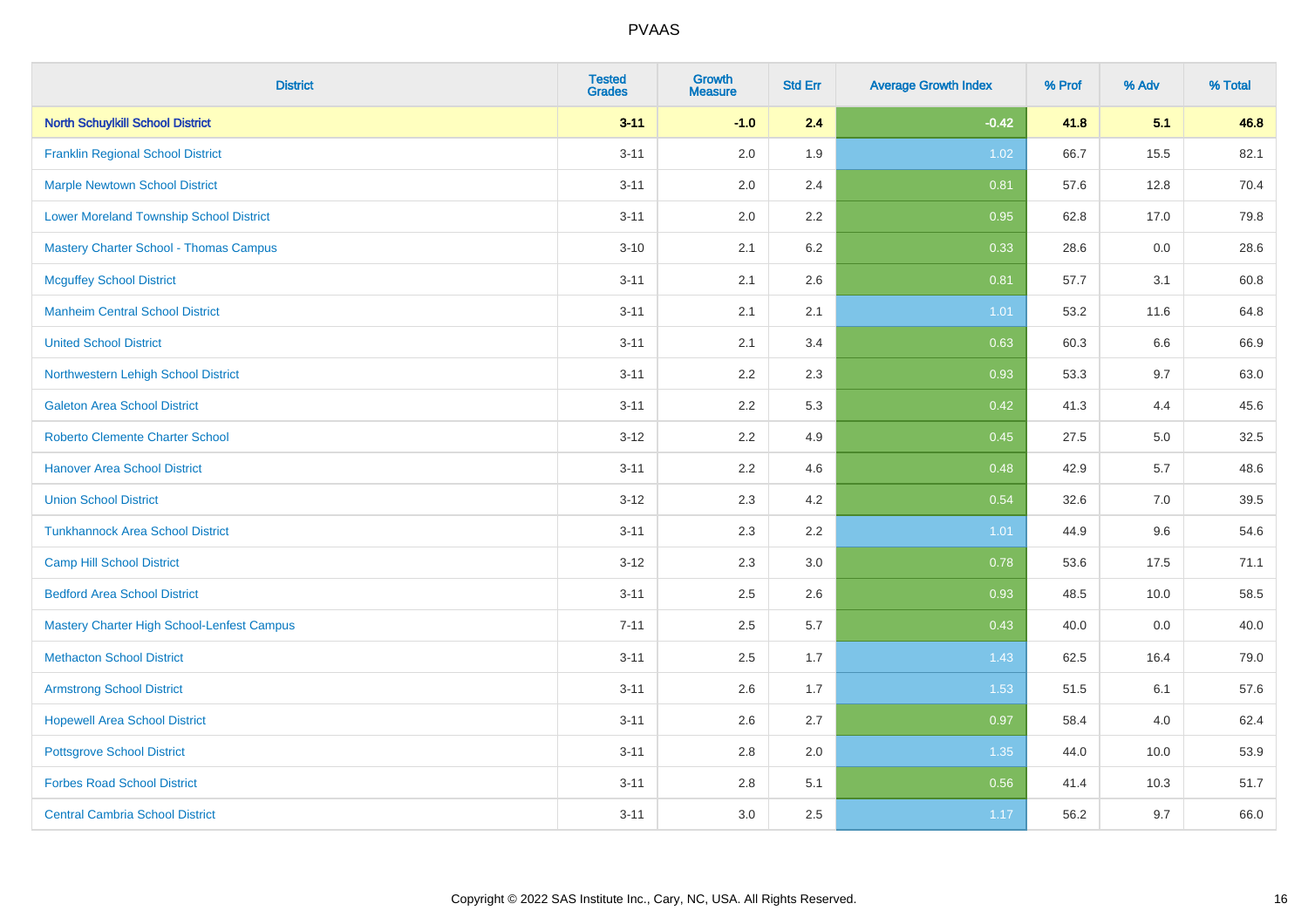| <b>District</b>                                | <b>Tested</b><br><b>Grades</b> | <b>Growth</b><br><b>Measure</b> | <b>Std Err</b> | <b>Average Growth Index</b> | % Prof | % Adv | % Total |
|------------------------------------------------|--------------------------------|---------------------------------|----------------|-----------------------------|--------|-------|---------|
| <b>North Schuylkill School District</b>        | $3 - 11$                       | $-1.0$                          | 2.4            | $-0.42$                     | 41.8   | 5.1   | 46.8    |
| <b>Franklin Regional School District</b>       | $3 - 11$                       | 2.0                             | 1.9            | 1.02                        | 66.7   | 15.5  | 82.1    |
| <b>Marple Newtown School District</b>          | $3 - 11$                       | 2.0                             | 2.4            | 0.81                        | 57.6   | 12.8  | 70.4    |
| <b>Lower Moreland Township School District</b> | $3 - 11$                       | 2.0                             | 2.2            | 0.95                        | 62.8   | 17.0  | 79.8    |
| Mastery Charter School - Thomas Campus         | $3 - 10$                       | 2.1                             | 6.2            | 0.33                        | 28.6   | 0.0   | 28.6    |
| <b>Mcguffey School District</b>                | $3 - 11$                       | 2.1                             | 2.6            | 0.81                        | 57.7   | 3.1   | 60.8    |
| <b>Manheim Central School District</b>         | $3 - 11$                       | 2.1                             | 2.1            | 1.01                        | 53.2   | 11.6  | 64.8    |
| <b>United School District</b>                  | $3 - 11$                       | 2.1                             | 3.4            | 0.63                        | 60.3   | 6.6   | 66.9    |
| Northwestern Lehigh School District            | $3 - 11$                       | 2.2                             | 2.3            | 0.93                        | 53.3   | 9.7   | 63.0    |
| <b>Galeton Area School District</b>            | $3 - 11$                       | 2.2                             | 5.3            | 0.42                        | 41.3   | 4.4   | 45.6    |
| <b>Roberto Clemente Charter School</b>         | $3 - 12$                       | 2.2                             | 4.9            | 0.45                        | 27.5   | 5.0   | 32.5    |
| <b>Hanover Area School District</b>            | $3 - 11$                       | 2.2                             | 4.6            | 0.48                        | 42.9   | 5.7   | 48.6    |
| <b>Union School District</b>                   | $3 - 12$                       | 2.3                             | 4.2            | 0.54                        | 32.6   | 7.0   | 39.5    |
| <b>Tunkhannock Area School District</b>        | $3 - 11$                       | 2.3                             | 2.2            | 1.01                        | 44.9   | 9.6   | 54.6    |
| <b>Camp Hill School District</b>               | $3 - 12$                       | 2.3                             | 3.0            | 0.78                        | 53.6   | 17.5  | 71.1    |
| <b>Bedford Area School District</b>            | $3 - 11$                       | 2.5                             | 2.6            | 0.93                        | 48.5   | 10.0  | 58.5    |
| Mastery Charter High School-Lenfest Campus     | $7 - 11$                       | 2.5                             | 5.7            | 0.43                        | 40.0   | 0.0   | 40.0    |
| <b>Methacton School District</b>               | $3 - 11$                       | 2.5                             | 1.7            | 1.43                        | 62.5   | 16.4  | 79.0    |
| <b>Armstrong School District</b>               | $3 - 11$                       | 2.6                             | 1.7            | 1.53                        | 51.5   | 6.1   | 57.6    |
| <b>Hopewell Area School District</b>           | $3 - 11$                       | 2.6                             | 2.7            | 0.97                        | 58.4   | 4.0   | 62.4    |
| <b>Pottsgrove School District</b>              | $3 - 11$                       | 2.8                             | 2.0            | 1.35                        | 44.0   | 10.0  | 53.9    |
| <b>Forbes Road School District</b>             | $3 - 11$                       | $2.8\,$                         | 5.1            | 0.56                        | 41.4   | 10.3  | 51.7    |
| <b>Central Cambria School District</b>         | $3 - 11$                       | 3.0                             | 2.5            | 1.17                        | 56.2   | 9.7   | 66.0    |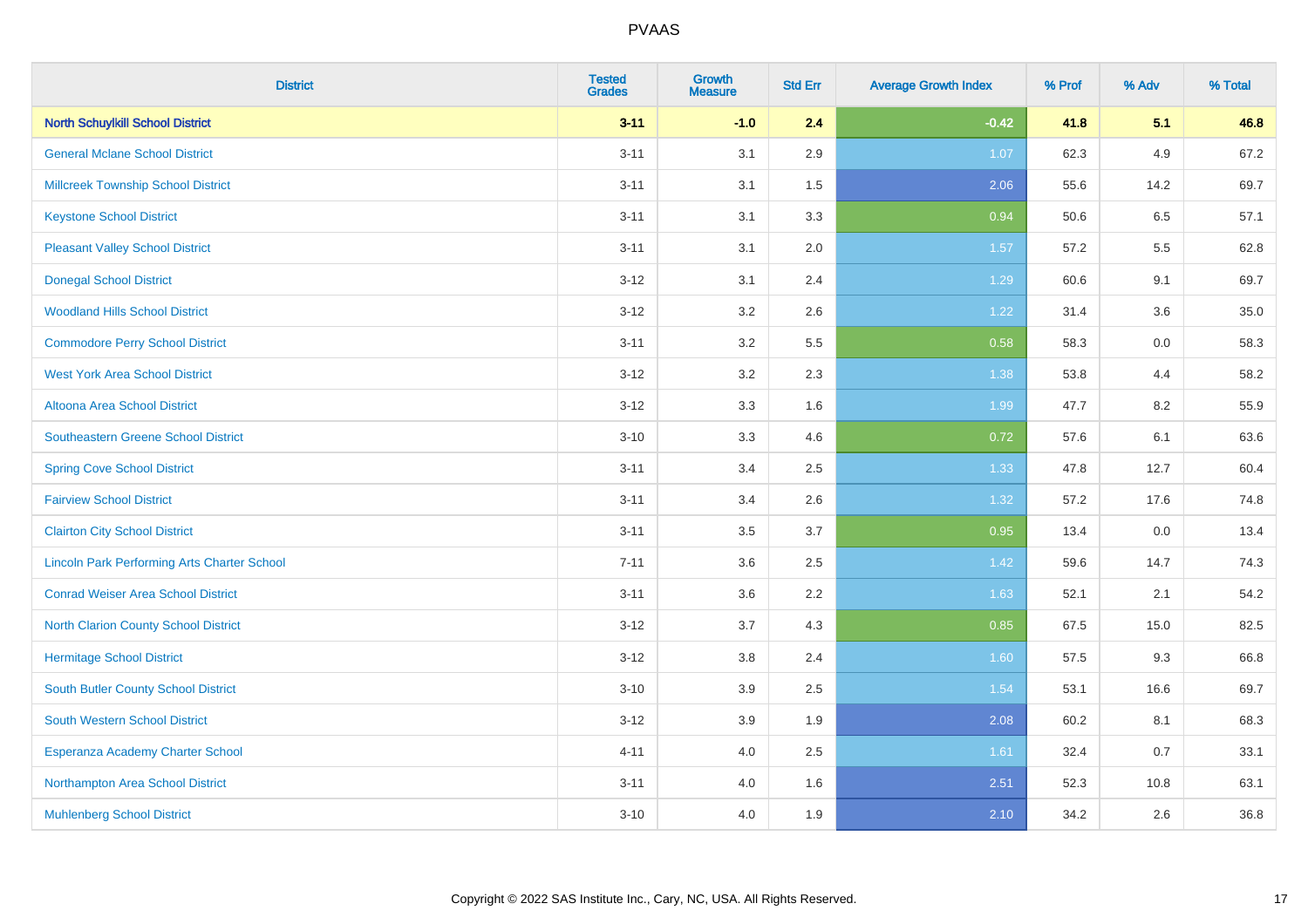| <b>District</b>                                    | <b>Tested</b><br><b>Grades</b> | <b>Growth</b><br><b>Measure</b> | <b>Std Err</b> | <b>Average Growth Index</b> | % Prof | % Adv | % Total |
|----------------------------------------------------|--------------------------------|---------------------------------|----------------|-----------------------------|--------|-------|---------|
| <b>North Schuylkill School District</b>            | $3 - 11$                       | $-1.0$                          | 2.4            | $-0.42$                     | 41.8   | 5.1   | 46.8    |
| <b>General Mclane School District</b>              | $3 - 11$                       | 3.1                             | 2.9            | 1.07                        | 62.3   | 4.9   | 67.2    |
| <b>Millcreek Township School District</b>          | $3 - 11$                       | 3.1                             | 1.5            | 2.06                        | 55.6   | 14.2  | 69.7    |
| <b>Keystone School District</b>                    | $3 - 11$                       | 3.1                             | 3.3            | 0.94                        | 50.6   | 6.5   | 57.1    |
| <b>Pleasant Valley School District</b>             | $3 - 11$                       | 3.1                             | 2.0            | 1.57                        | 57.2   | 5.5   | 62.8    |
| <b>Donegal School District</b>                     | $3 - 12$                       | 3.1                             | 2.4            | 1.29                        | 60.6   | 9.1   | 69.7    |
| <b>Woodland Hills School District</b>              | $3 - 12$                       | 3.2                             | 2.6            | 1.22                        | 31.4   | 3.6   | 35.0    |
| <b>Commodore Perry School District</b>             | $3 - 11$                       | 3.2                             | 5.5            | 0.58                        | 58.3   | 0.0   | 58.3    |
| <b>West York Area School District</b>              | $3 - 12$                       | 3.2                             | 2.3            | 1.38                        | 53.8   | 4.4   | 58.2    |
| Altoona Area School District                       | $3 - 12$                       | 3.3                             | 1.6            | 1.99                        | 47.7   | 8.2   | 55.9    |
| Southeastern Greene School District                | $3 - 10$                       | 3.3                             | 4.6            | 0.72                        | 57.6   | 6.1   | 63.6    |
| <b>Spring Cove School District</b>                 | $3 - 11$                       | 3.4                             | 2.5            | 1.33                        | 47.8   | 12.7  | 60.4    |
| <b>Fairview School District</b>                    | $3 - 11$                       | 3.4                             | 2.6            | 1.32                        | 57.2   | 17.6  | 74.8    |
| <b>Clairton City School District</b>               | $3 - 11$                       | 3.5                             | 3.7            | 0.95                        | 13.4   | 0.0   | 13.4    |
| <b>Lincoln Park Performing Arts Charter School</b> | $7 - 11$                       | 3.6                             | 2.5            | 1.42                        | 59.6   | 14.7  | 74.3    |
| <b>Conrad Weiser Area School District</b>          | $3 - 11$                       | 3.6                             | 2.2            | 1.63                        | 52.1   | 2.1   | 54.2    |
| <b>North Clarion County School District</b>        | $3 - 12$                       | 3.7                             | 4.3            | 0.85                        | 67.5   | 15.0  | 82.5    |
| <b>Hermitage School District</b>                   | $3 - 12$                       | $3.8\,$                         | 2.4            | 1.60                        | 57.5   | 9.3   | 66.8    |
| South Butler County School District                | $3 - 10$                       | 3.9                             | 2.5            | 1.54                        | 53.1   | 16.6  | 69.7    |
| South Western School District                      | $3 - 12$                       | 3.9                             | 1.9            | 2.08                        | 60.2   | 8.1   | 68.3    |
| Esperanza Academy Charter School                   | $4 - 11$                       | 4.0                             | 2.5            | 1.61                        | 32.4   | 0.7   | 33.1    |
| Northampton Area School District                   | $3 - 11$                       | 4.0                             | 1.6            | 2.51                        | 52.3   | 10.8  | 63.1    |
| <b>Muhlenberg School District</b>                  | $3 - 10$                       | 4.0                             | 1.9            | 2.10                        | 34.2   | 2.6   | 36.8    |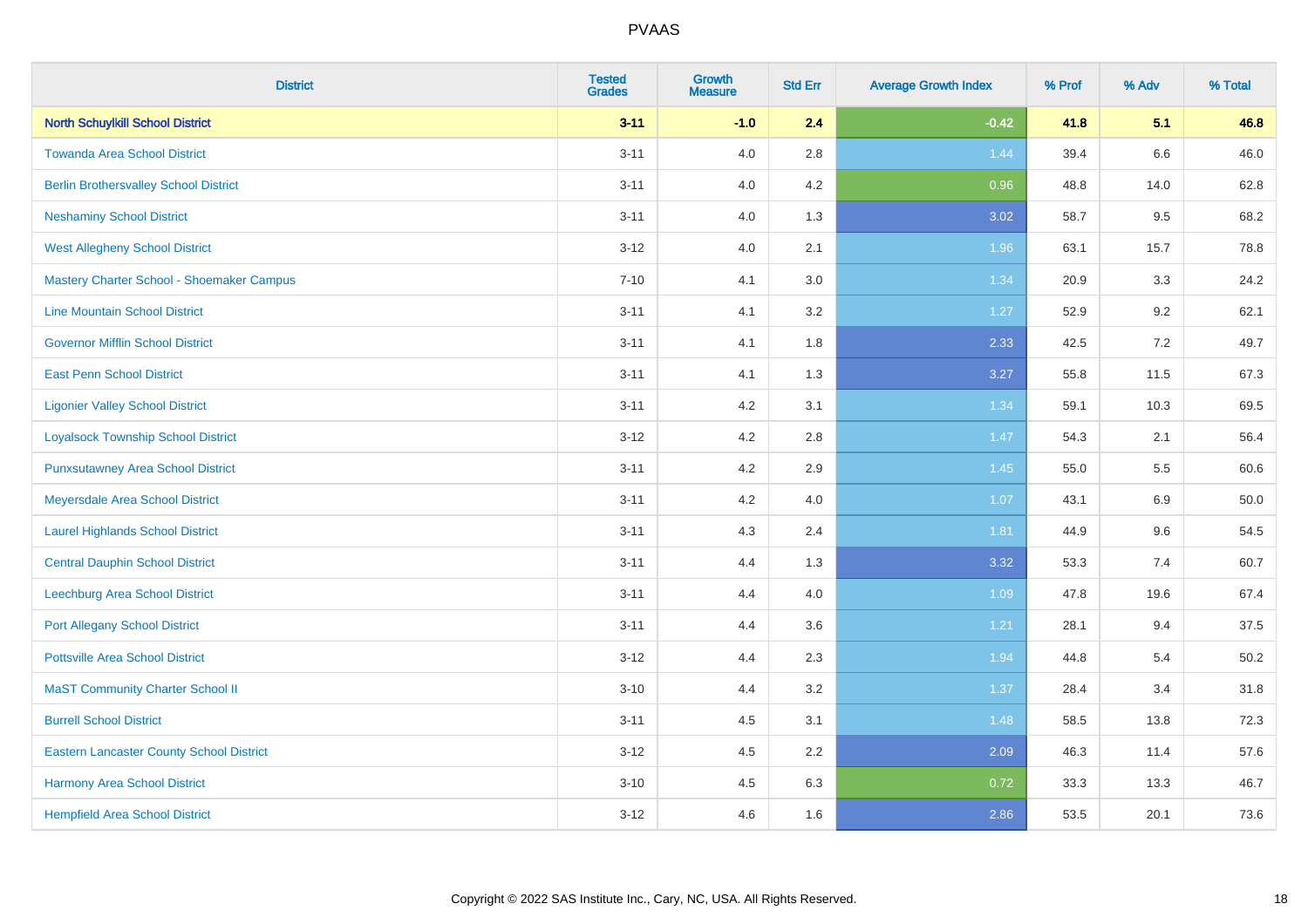| <b>District</b>                                 | <b>Tested</b><br><b>Grades</b> | Growth<br><b>Measure</b> | <b>Std Err</b> | <b>Average Growth Index</b> | % Prof | % Adv   | % Total |
|-------------------------------------------------|--------------------------------|--------------------------|----------------|-----------------------------|--------|---------|---------|
| <b>North Schuylkill School District</b>         | $3 - 11$                       | $-1.0$                   | 2.4            | $-0.42$                     | 41.8   | 5.1     | 46.8    |
| <b>Towanda Area School District</b>             | $3 - 11$                       | 4.0                      | 2.8            | 1.44                        | 39.4   | $6.6\,$ | 46.0    |
| <b>Berlin Brothersvalley School District</b>    | $3 - 11$                       | 4.0                      | 4.2            | 0.96                        | 48.8   | 14.0    | 62.8    |
| <b>Neshaminy School District</b>                | $3 - 11$                       | 4.0                      | 1.3            | 3.02                        | 58.7   | 9.5     | 68.2    |
| <b>West Allegheny School District</b>           | $3 - 12$                       | 4.0                      | 2.1            | 1.96                        | 63.1   | 15.7    | 78.8    |
| Mastery Charter School - Shoemaker Campus       | $7 - 10$                       | 4.1                      | 3.0            | 1.34                        | 20.9   | 3.3     | 24.2    |
| <b>Line Mountain School District</b>            | $3 - 11$                       | 4.1                      | 3.2            | 1.27                        | 52.9   | 9.2     | 62.1    |
| <b>Governor Mifflin School District</b>         | $3 - 11$                       | 4.1                      | 1.8            | 2.33                        | 42.5   | 7.2     | 49.7    |
| <b>East Penn School District</b>                | $3 - 11$                       | 4.1                      | 1.3            | 3.27                        | 55.8   | 11.5    | 67.3    |
| <b>Ligonier Valley School District</b>          | $3 - 11$                       | 4.2                      | 3.1            | 1.34                        | 59.1   | 10.3    | 69.5    |
| <b>Loyalsock Township School District</b>       | $3 - 12$                       | 4.2                      | 2.8            | 1.47                        | 54.3   | 2.1     | 56.4    |
| <b>Punxsutawney Area School District</b>        | $3 - 11$                       | 4.2                      | 2.9            | 1.45                        | 55.0   | 5.5     | 60.6    |
| Meyersdale Area School District                 | $3 - 11$                       | 4.2                      | 4.0            | 1.07                        | 43.1   | 6.9     | 50.0    |
| <b>Laurel Highlands School District</b>         | $3 - 11$                       | 4.3                      | 2.4            | 1.81                        | 44.9   | 9.6     | 54.5    |
| <b>Central Dauphin School District</b>          | $3 - 11$                       | 4.4                      | 1.3            | 3.32                        | 53.3   | 7.4     | 60.7    |
| Leechburg Area School District                  | $3 - 11$                       | 4.4                      | 4.0            | 1.09                        | 47.8   | 19.6    | 67.4    |
| <b>Port Allegany School District</b>            | $3 - 11$                       | 4.4                      | 3.6            | 1.21                        | 28.1   | 9.4     | 37.5    |
| <b>Pottsville Area School District</b>          | $3 - 12$                       | 4.4                      | 2.3            | 1.94                        | 44.8   | 5.4     | 50.2    |
| <b>MaST Community Charter School II</b>         | $3 - 10$                       | 4.4                      | 3.2            | 1.37                        | 28.4   | 3.4     | 31.8    |
| <b>Burrell School District</b>                  | $3 - 11$                       | 4.5                      | 3.1            | 1.48                        | 58.5   | 13.8    | 72.3    |
| <b>Eastern Lancaster County School District</b> | $3 - 12$                       | 4.5                      | 2.2            | 2.09                        | 46.3   | 11.4    | 57.6    |
| Harmony Area School District                    | $3 - 10$                       | 4.5                      | 6.3            | 0.72                        | 33.3   | 13.3    | 46.7    |
| <b>Hempfield Area School District</b>           | $3 - 12$                       | 4.6                      | 1.6            | 2.86                        | 53.5   | 20.1    | 73.6    |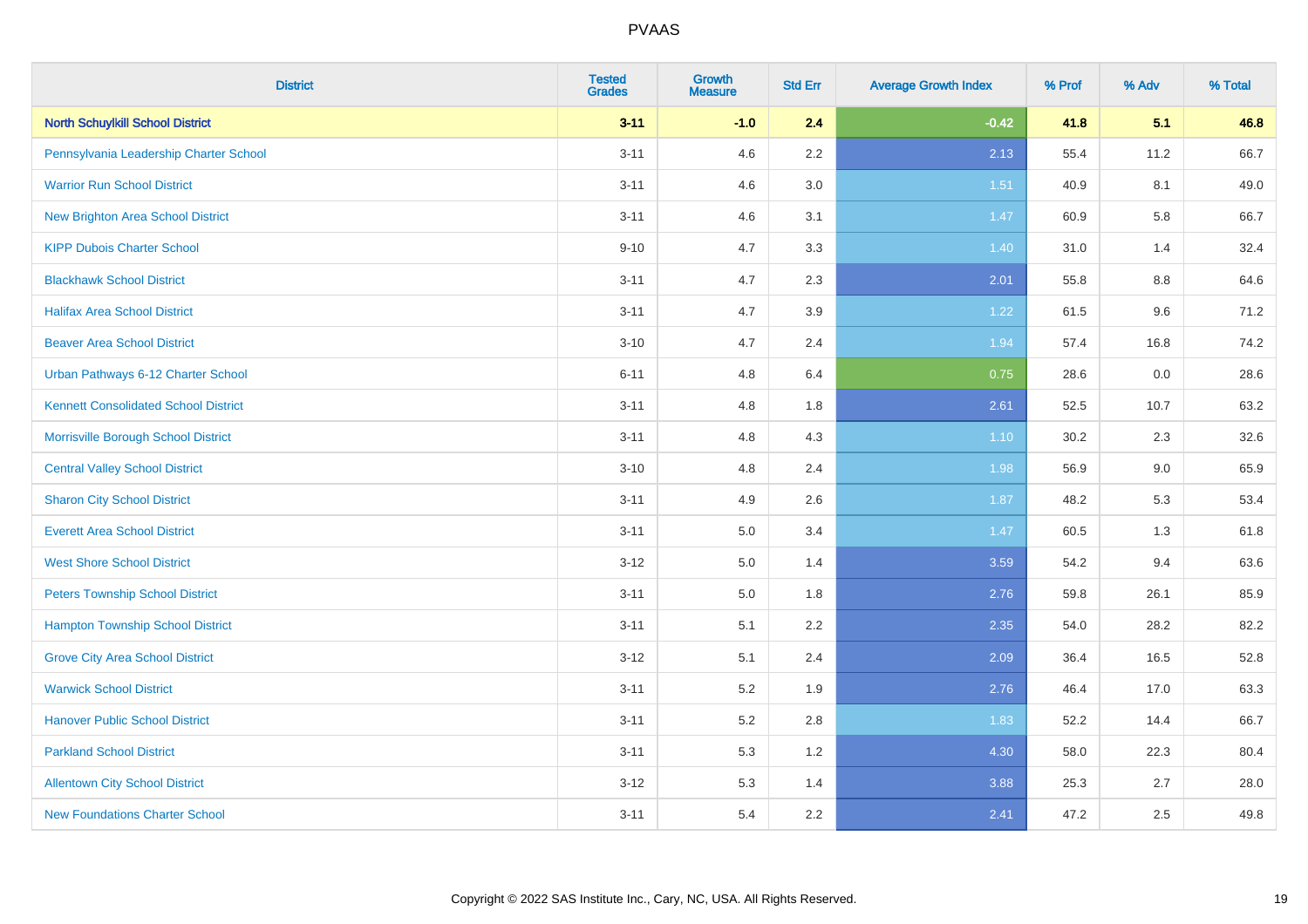| <b>District</b>                             | <b>Tested</b><br><b>Grades</b> | <b>Growth</b><br><b>Measure</b> | <b>Std Err</b> | <b>Average Growth Index</b> | % Prof | % Adv | % Total |
|---------------------------------------------|--------------------------------|---------------------------------|----------------|-----------------------------|--------|-------|---------|
| <b>North Schuylkill School District</b>     | $3 - 11$                       | $-1.0$                          | 2.4            | $-0.42$                     | 41.8   | 5.1   | 46.8    |
| Pennsylvania Leadership Charter School      | $3 - 11$                       | 4.6                             | $2.2\,$        | 2.13                        | 55.4   | 11.2  | 66.7    |
| <b>Warrior Run School District</b>          | $3 - 11$                       | 4.6                             | 3.0            | 1.51                        | 40.9   | 8.1   | 49.0    |
| <b>New Brighton Area School District</b>    | $3 - 11$                       | 4.6                             | 3.1            | 1.47                        | 60.9   | 5.8   | 66.7    |
| <b>KIPP Dubois Charter School</b>           | $9 - 10$                       | 4.7                             | 3.3            | 1.40                        | 31.0   | 1.4   | 32.4    |
| <b>Blackhawk School District</b>            | $3 - 11$                       | 4.7                             | 2.3            | 2.01                        | 55.8   | 8.8   | 64.6    |
| <b>Halifax Area School District</b>         | $3 - 11$                       | 4.7                             | 3.9            | 1.22                        | 61.5   | 9.6   | 71.2    |
| <b>Beaver Area School District</b>          | $3 - 10$                       | 4.7                             | 2.4            | 1.94                        | 57.4   | 16.8  | 74.2    |
| Urban Pathways 6-12 Charter School          | $6 - 11$                       | 4.8                             | 6.4            | 0.75                        | 28.6   | 0.0   | 28.6    |
| <b>Kennett Consolidated School District</b> | $3 - 11$                       | 4.8                             | 1.8            | 2.61                        | 52.5   | 10.7  | 63.2    |
| Morrisville Borough School District         | $3 - 11$                       | 4.8                             | 4.3            | $1.10$                      | 30.2   | 2.3   | 32.6    |
| <b>Central Valley School District</b>       | $3 - 10$                       | 4.8                             | 2.4            | 1.98                        | 56.9   | 9.0   | 65.9    |
| <b>Sharon City School District</b>          | $3 - 11$                       | 4.9                             | 2.6            | 1.87                        | 48.2   | 5.3   | 53.4    |
| <b>Everett Area School District</b>         | $3 - 11$                       | $5.0\,$                         | 3.4            | 1.47                        | 60.5   | 1.3   | 61.8    |
| <b>West Shore School District</b>           | $3 - 12$                       | 5.0                             | 1.4            | 3.59                        | 54.2   | 9.4   | 63.6    |
| <b>Peters Township School District</b>      | $3 - 11$                       | 5.0                             | 1.8            | 2.76                        | 59.8   | 26.1  | 85.9    |
| <b>Hampton Township School District</b>     | $3 - 11$                       | 5.1                             | 2.2            | 2.35                        | 54.0   | 28.2  | 82.2    |
| <b>Grove City Area School District</b>      | $3 - 12$                       | 5.1                             | 2.4            | 2.09                        | 36.4   | 16.5  | 52.8    |
| <b>Warwick School District</b>              | $3 - 11$                       | 5.2                             | 1.9            | 2.76                        | 46.4   | 17.0  | 63.3    |
| <b>Hanover Public School District</b>       | $3 - 11$                       | 5.2                             | 2.8            | 1.83                        | 52.2   | 14.4  | 66.7    |
| <b>Parkland School District</b>             | $3 - 11$                       | 5.3                             | 1.2            | 4.30                        | 58.0   | 22.3  | 80.4    |
| <b>Allentown City School District</b>       | $3 - 12$                       | 5.3                             | 1.4            | 3.88                        | 25.3   | 2.7   | 28.0    |
| <b>New Foundations Charter School</b>       | $3 - 11$                       | 5.4                             | 2.2            | 2.41                        | 47.2   | 2.5   | 49.8    |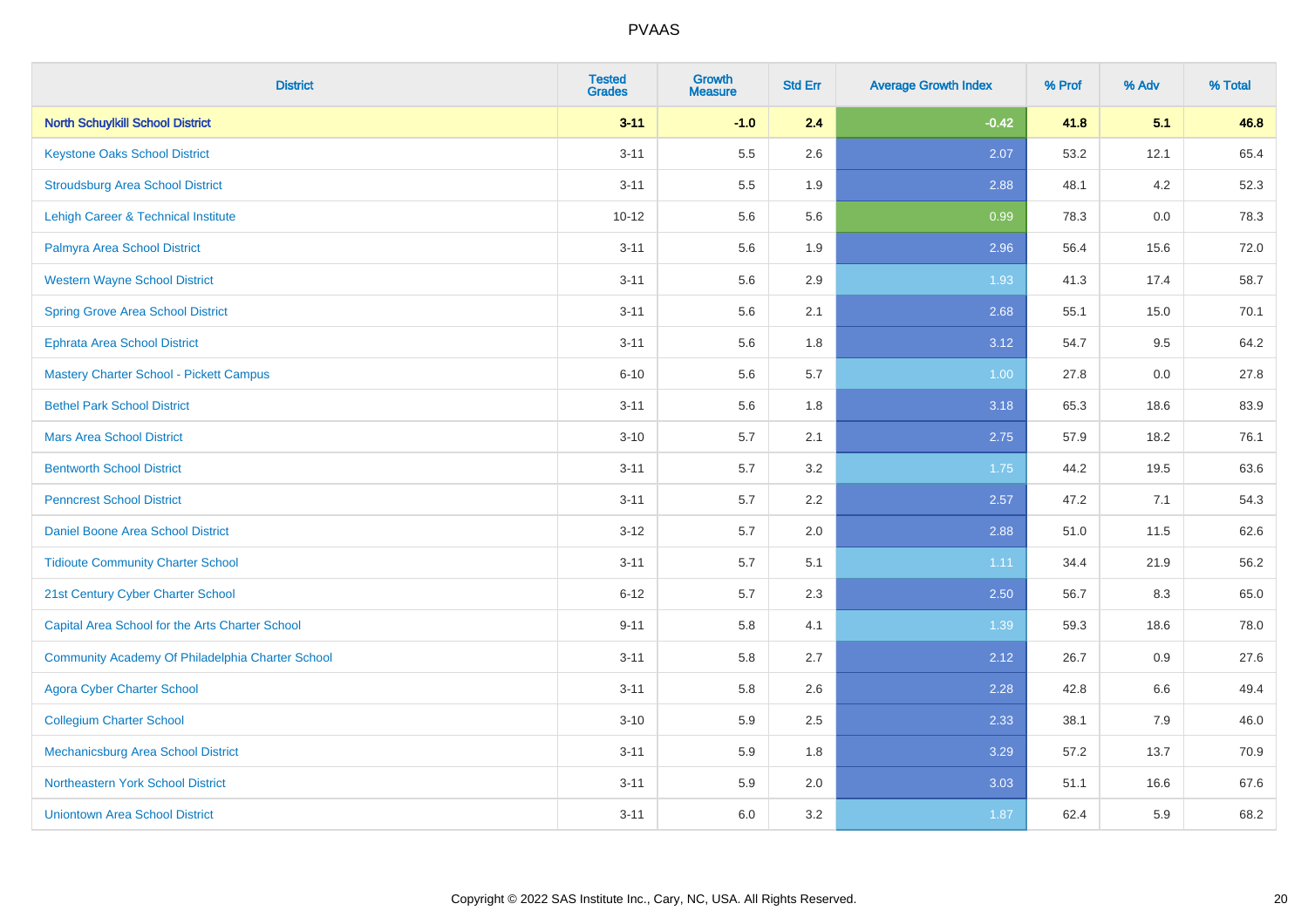| <b>District</b>                                  | <b>Tested</b><br><b>Grades</b> | <b>Growth</b><br><b>Measure</b> | <b>Std Err</b> | <b>Average Growth Index</b> | % Prof | % Adv | % Total |
|--------------------------------------------------|--------------------------------|---------------------------------|----------------|-----------------------------|--------|-------|---------|
| <b>North Schuylkill School District</b>          | $3 - 11$                       | $-1.0$                          | 2.4            | $-0.42$                     | 41.8   | 5.1   | 46.8    |
| <b>Keystone Oaks School District</b>             | $3 - 11$                       | 5.5                             | 2.6            | 2.07                        | 53.2   | 12.1  | 65.4    |
| <b>Stroudsburg Area School District</b>          | $3 - 11$                       | 5.5                             | 1.9            | 2.88                        | 48.1   | 4.2   | 52.3    |
| Lehigh Career & Technical Institute              | $10 - 12$                      | 5.6                             | 5.6            | 0.99                        | 78.3   | 0.0   | 78.3    |
| Palmyra Area School District                     | $3 - 11$                       | 5.6                             | 1.9            | 2.96                        | 56.4   | 15.6  | 72.0    |
| <b>Western Wayne School District</b>             | $3 - 11$                       | 5.6                             | 2.9            | 1.93                        | 41.3   | 17.4  | 58.7    |
| <b>Spring Grove Area School District</b>         | $3 - 11$                       | 5.6                             | 2.1            | 2.68                        | 55.1   | 15.0  | 70.1    |
| <b>Ephrata Area School District</b>              | $3 - 11$                       | 5.6                             | 1.8            | 3.12                        | 54.7   | 9.5   | 64.2    |
| Mastery Charter School - Pickett Campus          | $6 - 10$                       | 5.6                             | 5.7            | 1.00                        | 27.8   | 0.0   | 27.8    |
| <b>Bethel Park School District</b>               | $3 - 11$                       | 5.6                             | 1.8            | 3.18                        | 65.3   | 18.6  | 83.9    |
| <b>Mars Area School District</b>                 | $3 - 10$                       | 5.7                             | 2.1            | 2.75                        | 57.9   | 18.2  | 76.1    |
| <b>Bentworth School District</b>                 | $3 - 11$                       | 5.7                             | 3.2            | 1.75                        | 44.2   | 19.5  | 63.6    |
| <b>Penncrest School District</b>                 | $3 - 11$                       | 5.7                             | 2.2            | 2.57                        | 47.2   | 7.1   | 54.3    |
| <b>Daniel Boone Area School District</b>         | $3 - 12$                       | 5.7                             | 2.0            | 2.88                        | 51.0   | 11.5  | 62.6    |
| <b>Tidioute Community Charter School</b>         | $3 - 11$                       | 5.7                             | 5.1            | 1.11                        | 34.4   | 21.9  | 56.2    |
| 21st Century Cyber Charter School                | $6 - 12$                       | 5.7                             | 2.3            | 2.50                        | 56.7   | 8.3   | 65.0    |
| Capital Area School for the Arts Charter School  | $9 - 11$                       | 5.8                             | 4.1            | 1.39                        | 59.3   | 18.6  | 78.0    |
| Community Academy Of Philadelphia Charter School | $3 - 11$                       | 5.8                             | 2.7            | 2.12                        | 26.7   | 0.9   | 27.6    |
| <b>Agora Cyber Charter School</b>                | $3 - 11$                       | 5.8                             | 2.6            | 2.28                        | 42.8   | 6.6   | 49.4    |
| <b>Collegium Charter School</b>                  | $3 - 10$                       | 5.9                             | 2.5            | 2.33                        | 38.1   | 7.9   | 46.0    |
| <b>Mechanicsburg Area School District</b>        | $3 - 11$                       | 5.9                             | 1.8            | 3.29                        | 57.2   | 13.7  | 70.9    |
| Northeastern York School District                | $3 - 11$                       | 5.9                             | 2.0            | 3.03                        | 51.1   | 16.6  | 67.6    |
| <b>Uniontown Area School District</b>            | $3 - 11$                       | 6.0                             | 3.2            | 1.87                        | 62.4   | 5.9   | 68.2    |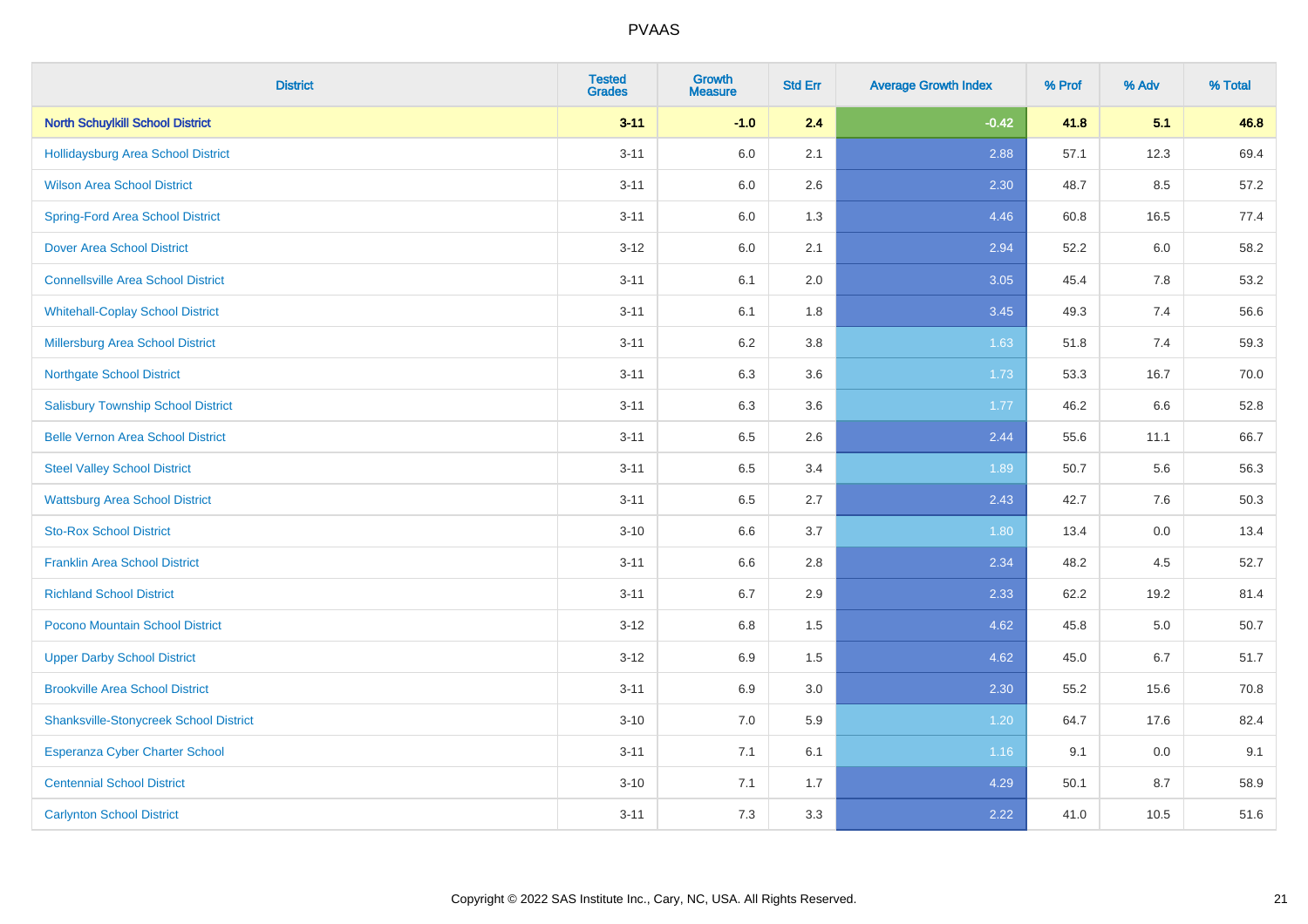| <b>District</b>                               | <b>Tested</b><br><b>Grades</b> | <b>Growth</b><br><b>Measure</b> | <b>Std Err</b> | <b>Average Growth Index</b> | % Prof | % Adv | % Total |
|-----------------------------------------------|--------------------------------|---------------------------------|----------------|-----------------------------|--------|-------|---------|
| <b>North Schuylkill School District</b>       | $3 - 11$                       | $-1.0$                          | 2.4            | $-0.42$                     | 41.8   | 5.1   | 46.8    |
| <b>Hollidaysburg Area School District</b>     | $3 - 11$                       | 6.0                             | 2.1            | 2.88                        | 57.1   | 12.3  | 69.4    |
| <b>Wilson Area School District</b>            | $3 - 11$                       | 6.0                             | 2.6            | 2.30                        | 48.7   | 8.5   | 57.2    |
| <b>Spring-Ford Area School District</b>       | $3 - 11$                       | 6.0                             | 1.3            | 4.46                        | 60.8   | 16.5  | 77.4    |
| <b>Dover Area School District</b>             | $3 - 12$                       | 6.0                             | 2.1            | 2.94                        | 52.2   | 6.0   | 58.2    |
| <b>Connellsville Area School District</b>     | $3 - 11$                       | 6.1                             | 2.0            | 3.05                        | 45.4   | 7.8   | 53.2    |
| <b>Whitehall-Coplay School District</b>       | $3 - 11$                       | 6.1                             | 1.8            | 3.45                        | 49.3   | 7.4   | 56.6    |
| <b>Millersburg Area School District</b>       | $3 - 11$                       | 6.2                             | 3.8            | 1.63                        | 51.8   | 7.4   | 59.3    |
| <b>Northgate School District</b>              | $3 - 11$                       | 6.3                             | 3.6            | 1.73                        | 53.3   | 16.7  | 70.0    |
| <b>Salisbury Township School District</b>     | $3 - 11$                       | 6.3                             | 3.6            | 1.77                        | 46.2   | 6.6   | 52.8    |
| <b>Belle Vernon Area School District</b>      | $3 - 11$                       | 6.5                             | 2.6            | 2.44                        | 55.6   | 11.1  | 66.7    |
| <b>Steel Valley School District</b>           | $3 - 11$                       | 6.5                             | 3.4            | 1.89                        | 50.7   | 5.6   | 56.3    |
| <b>Wattsburg Area School District</b>         | $3 - 11$                       | 6.5                             | 2.7            | 2.43                        | 42.7   | 7.6   | 50.3    |
| <b>Sto-Rox School District</b>                | $3 - 10$                       | 6.6                             | 3.7            | 1.80                        | 13.4   | 0.0   | 13.4    |
| <b>Franklin Area School District</b>          | $3 - 11$                       | 6.6                             | 2.8            | 2.34                        | 48.2   | 4.5   | 52.7    |
| <b>Richland School District</b>               | $3 - 11$                       | 6.7                             | 2.9            | 2.33                        | 62.2   | 19.2  | 81.4    |
| <b>Pocono Mountain School District</b>        | $3 - 12$                       | 6.8                             | 1.5            | 4.62                        | 45.8   | 5.0   | 50.7    |
| <b>Upper Darby School District</b>            | $3 - 12$                       | 6.9                             | 1.5            | 4.62                        | 45.0   | 6.7   | 51.7    |
| <b>Brookville Area School District</b>        | $3 - 11$                       | 6.9                             | 3.0            | 2.30                        | 55.2   | 15.6  | 70.8    |
| <b>Shanksville-Stonycreek School District</b> | $3 - 10$                       | 7.0                             | 5.9            | 1.20                        | 64.7   | 17.6  | 82.4    |
| Esperanza Cyber Charter School                | $3 - 11$                       | 7.1                             | 6.1            | 1.16                        | 9.1    | 0.0   | 9.1     |
| <b>Centennial School District</b>             | $3 - 10$                       | 7.1                             | 1.7            | 4.29                        | 50.1   | 8.7   | 58.9    |
| <b>Carlynton School District</b>              | $3 - 11$                       | 7.3                             | 3.3            | 2.22                        | 41.0   | 10.5  | 51.6    |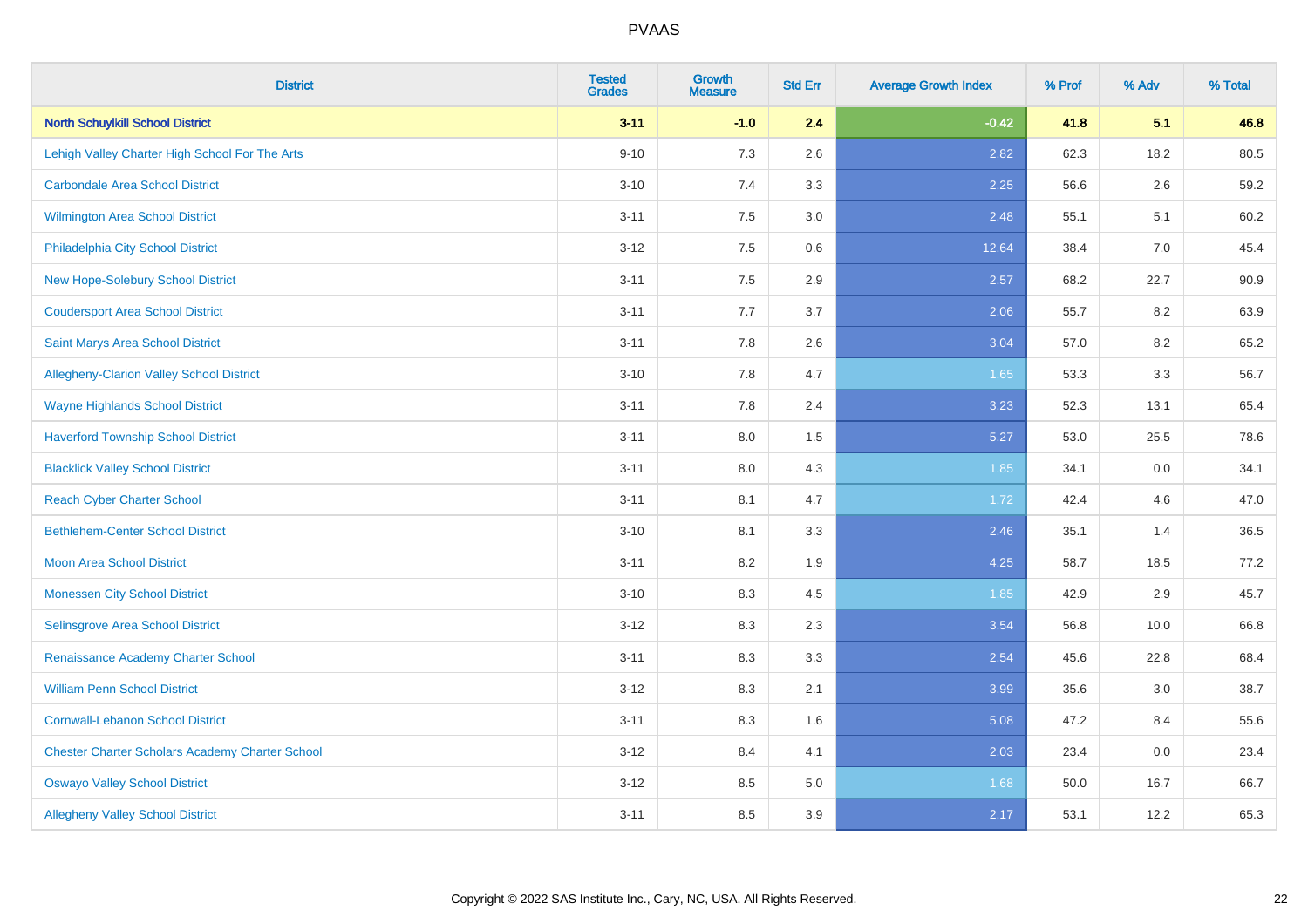| <b>District</b>                                        | <b>Tested</b><br><b>Grades</b> | <b>Growth</b><br><b>Measure</b> | <b>Std Err</b> | <b>Average Growth Index</b> | % Prof | % Adv | % Total |
|--------------------------------------------------------|--------------------------------|---------------------------------|----------------|-----------------------------|--------|-------|---------|
| <b>North Schuylkill School District</b>                | $3 - 11$                       | $-1.0$                          | 2.4            | $-0.42$                     | 41.8   | 5.1   | 46.8    |
| Lehigh Valley Charter High School For The Arts         | $9 - 10$                       | 7.3                             | 2.6            | 2.82                        | 62.3   | 18.2  | 80.5    |
| <b>Carbondale Area School District</b>                 | $3 - 10$                       | 7.4                             | 3.3            | 2.25                        | 56.6   | 2.6   | 59.2    |
| <b>Wilmington Area School District</b>                 | $3 - 11$                       | 7.5                             | 3.0            | 2.48                        | 55.1   | 5.1   | 60.2    |
| Philadelphia City School District                      | $3 - 12$                       | 7.5                             | 0.6            | 12.64                       | 38.4   | 7.0   | 45.4    |
| New Hope-Solebury School District                      | $3 - 11$                       | 7.5                             | 2.9            | 2.57                        | 68.2   | 22.7  | 90.9    |
| <b>Coudersport Area School District</b>                | $3 - 11$                       | 7.7                             | 3.7            | 2.06                        | 55.7   | 8.2   | 63.9    |
| <b>Saint Marys Area School District</b>                | $3 - 11$                       | 7.8                             | 2.6            | 3.04                        | 57.0   | 8.2   | 65.2    |
| Allegheny-Clarion Valley School District               | $3 - 10$                       | 7.8                             | 4.7            | 1.65                        | 53.3   | 3.3   | 56.7    |
| <b>Wayne Highlands School District</b>                 | $3 - 11$                       | 7.8                             | 2.4            | 3.23                        | 52.3   | 13.1  | 65.4    |
| <b>Haverford Township School District</b>              | $3 - 11$                       | 8.0                             | 1.5            | 5.27                        | 53.0   | 25.5  | 78.6    |
| <b>Blacklick Valley School District</b>                | $3 - 11$                       | 8.0                             | 4.3            | 1.85                        | 34.1   | 0.0   | 34.1    |
| <b>Reach Cyber Charter School</b>                      | $3 - 11$                       | 8.1                             | 4.7            | 1.72                        | 42.4   | 4.6   | 47.0    |
| <b>Bethlehem-Center School District</b>                | $3 - 10$                       | 8.1                             | 3.3            | 2.46                        | 35.1   | 1.4   | 36.5    |
| <b>Moon Area School District</b>                       | $3 - 11$                       | 8.2                             | 1.9            | 4.25                        | 58.7   | 18.5  | 77.2    |
| <b>Monessen City School District</b>                   | $3 - 10$                       | 8.3                             | 4.5            | 1.85                        | 42.9   | 2.9   | 45.7    |
| Selinsgrove Area School District                       | $3 - 12$                       | 8.3                             | 2.3            | 3.54                        | 56.8   | 10.0  | 66.8    |
| Renaissance Academy Charter School                     | $3 - 11$                       | 8.3                             | 3.3            | 2.54                        | 45.6   | 22.8  | 68.4    |
| <b>William Penn School District</b>                    | $3-12$                         | 8.3                             | 2.1            | 3.99                        | 35.6   | 3.0   | 38.7    |
| <b>Cornwall-Lebanon School District</b>                | $3 - 11$                       | 8.3                             | 1.6            | 5.08                        | 47.2   | 8.4   | 55.6    |
| <b>Chester Charter Scholars Academy Charter School</b> | $3 - 12$                       | 8.4                             | 4.1            | 2.03                        | 23.4   | 0.0   | 23.4    |
| <b>Oswayo Valley School District</b>                   | $3-12$                         | 8.5                             | 5.0            | 1.68                        | 50.0   | 16.7  | 66.7    |
| <b>Allegheny Valley School District</b>                | $3 - 11$                       | 8.5                             | 3.9            | 2.17                        | 53.1   | 12.2  | 65.3    |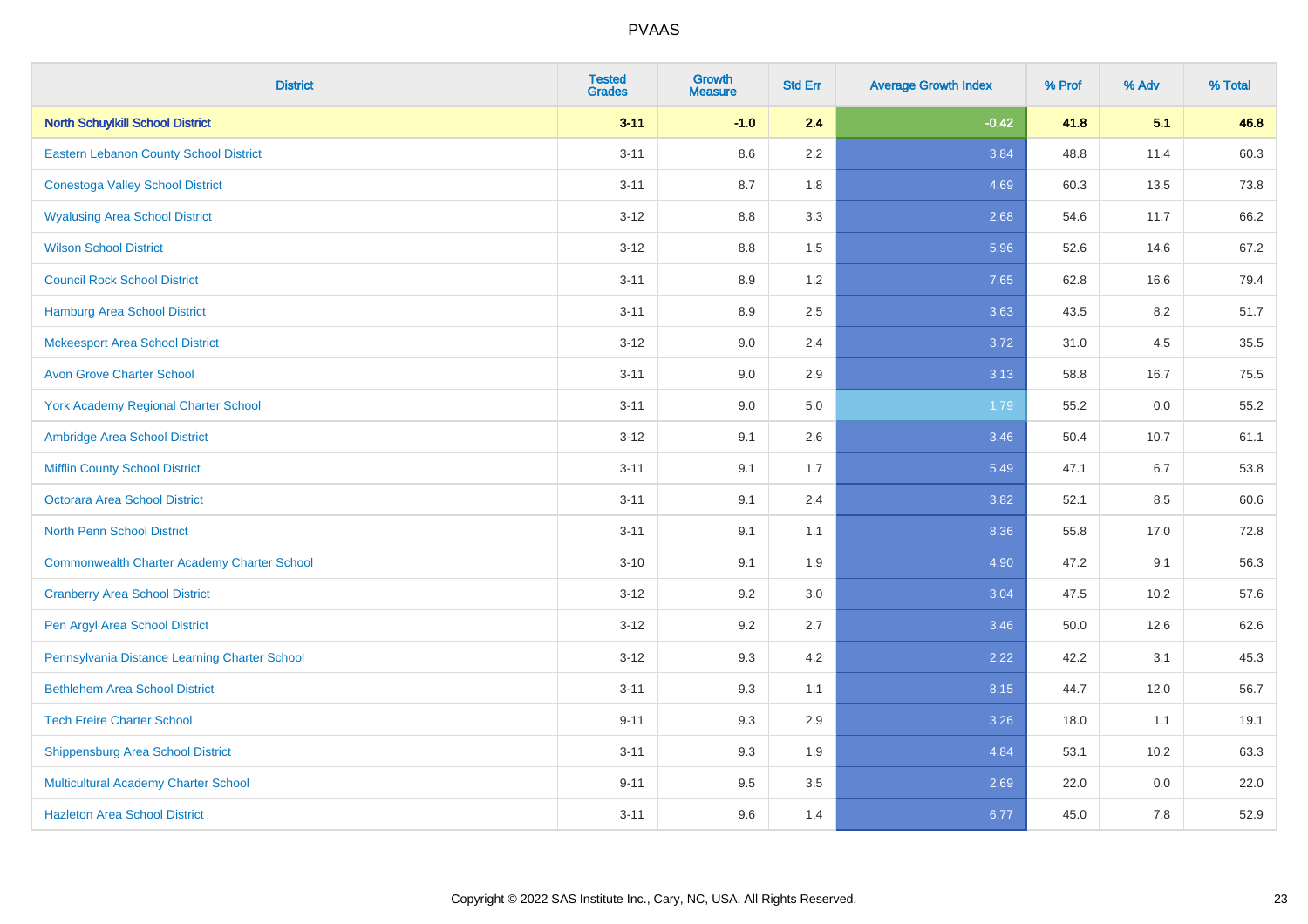| <b>District</b>                                    | <b>Tested</b><br><b>Grades</b> | <b>Growth</b><br><b>Measure</b> | <b>Std Err</b> | <b>Average Growth Index</b> | % Prof | % Adv   | % Total |
|----------------------------------------------------|--------------------------------|---------------------------------|----------------|-----------------------------|--------|---------|---------|
| <b>North Schuylkill School District</b>            | $3 - 11$                       | $-1.0$                          | 2.4            | $-0.42$                     | 41.8   | 5.1     | 46.8    |
| Eastern Lebanon County School District             | $3 - 11$                       | $8.6\,$                         | 2.2            | 3.84                        | 48.8   | 11.4    | 60.3    |
| <b>Conestoga Valley School District</b>            | $3 - 11$                       | 8.7                             | 1.8            | 4.69                        | 60.3   | 13.5    | 73.8    |
| <b>Wyalusing Area School District</b>              | $3-12$                         | 8.8                             | 3.3            | 2.68                        | 54.6   | 11.7    | 66.2    |
| <b>Wilson School District</b>                      | $3-12$                         | 8.8                             | 1.5            | 5.96                        | 52.6   | 14.6    | 67.2    |
| <b>Council Rock School District</b>                | $3 - 11$                       | 8.9                             | 1.2            | 7.65                        | 62.8   | 16.6    | 79.4    |
| <b>Hamburg Area School District</b>                | $3 - 11$                       | 8.9                             | 2.5            | 3.63                        | 43.5   | 8.2     | 51.7    |
| <b>Mckeesport Area School District</b>             | $3-12$                         | 9.0                             | 2.4            | 3.72                        | 31.0   | 4.5     | 35.5    |
| <b>Avon Grove Charter School</b>                   | $3 - 11$                       | 9.0                             | 2.9            | 3.13                        | 58.8   | 16.7    | 75.5    |
| <b>York Academy Regional Charter School</b>        | $3 - 11$                       | 9.0                             | 5.0            | 1.79                        | 55.2   | 0.0     | 55.2    |
| Ambridge Area School District                      | $3-12$                         | 9.1                             | 2.6            | 3.46                        | 50.4   | 10.7    | 61.1    |
| <b>Mifflin County School District</b>              | $3 - 11$                       | 9.1                             | 1.7            | 5.49                        | 47.1   | 6.7     | 53.8    |
| Octorara Area School District                      | $3 - 11$                       | 9.1                             | 2.4            | 3.82                        | 52.1   | 8.5     | 60.6    |
| <b>North Penn School District</b>                  | $3 - 11$                       | 9.1                             | 1.1            | 8.36                        | 55.8   | 17.0    | 72.8    |
| <b>Commonwealth Charter Academy Charter School</b> | $3 - 10$                       | 9.1                             | 1.9            | 4.90                        | 47.2   | 9.1     | 56.3    |
| <b>Cranberry Area School District</b>              | $3 - 12$                       | 9.2                             | 3.0            | 3.04                        | 47.5   | 10.2    | 57.6    |
| Pen Argyl Area School District                     | $3 - 12$                       | 9.2                             | 2.7            | 3.46                        | 50.0   | 12.6    | 62.6    |
| Pennsylvania Distance Learning Charter School      | $3-12$                         | 9.3                             | 4.2            | 2.22                        | 42.2   | 3.1     | 45.3    |
| <b>Bethlehem Area School District</b>              | $3 - 11$                       | 9.3                             | 1.1            | 8.15                        | 44.7   | 12.0    | 56.7    |
| <b>Tech Freire Charter School</b>                  | $9 - 11$                       | 9.3                             | 2.9            | 3.26                        | 18.0   | 1.1     | 19.1    |
| <b>Shippensburg Area School District</b>           | $3 - 11$                       | 9.3                             | 1.9            | 4.84                        | 53.1   | 10.2    | 63.3    |
| Multicultural Academy Charter School               | $9 - 11$                       | 9.5                             | 3.5            | 2.69                        | 22.0   | $0.0\,$ | 22.0    |
| <b>Hazleton Area School District</b>               | $3 - 11$                       | 9.6                             | 1.4            | 6.77                        | 45.0   | 7.8     | 52.9    |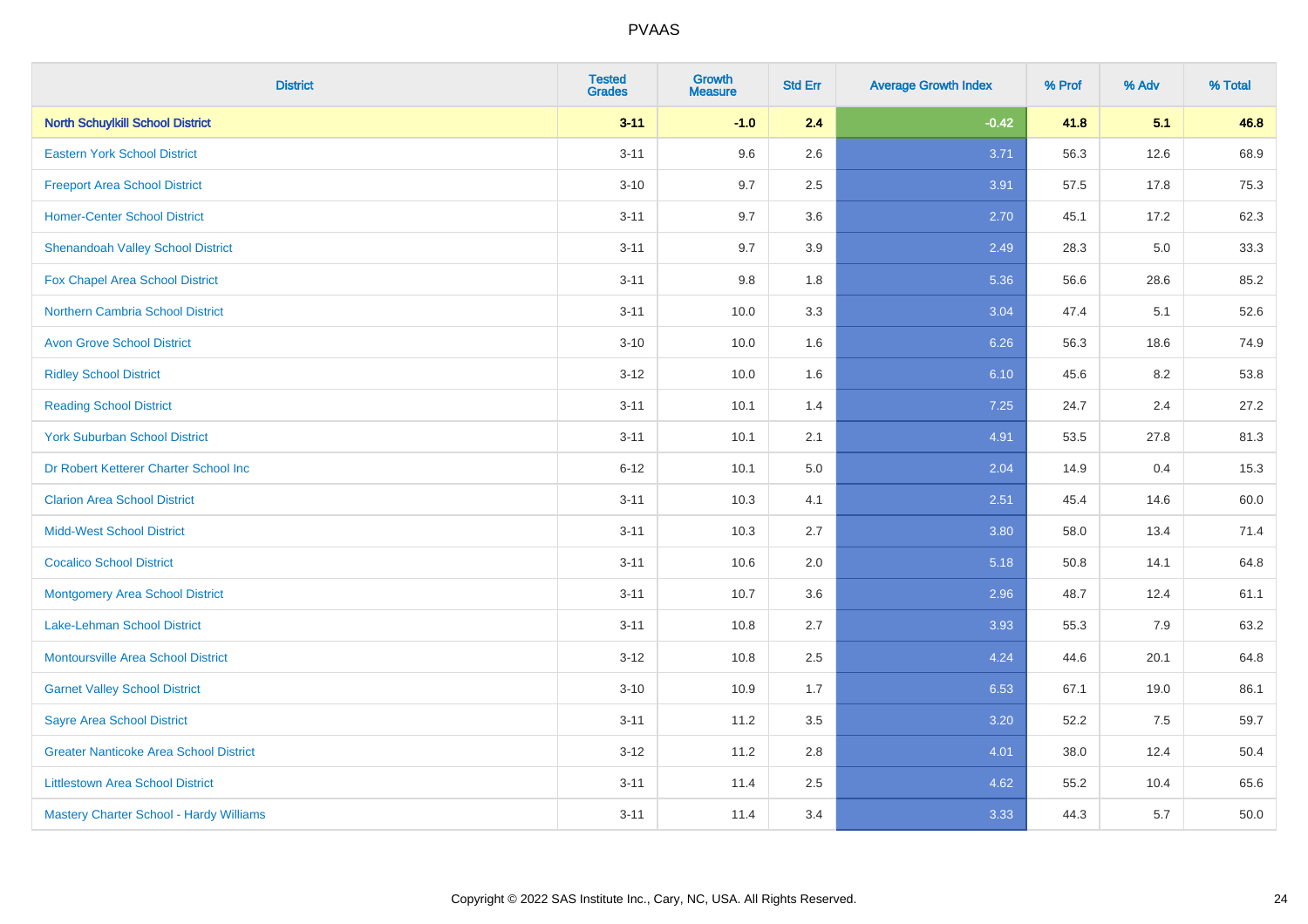| <b>District</b>                               | <b>Tested</b><br><b>Grades</b> | <b>Growth</b><br><b>Measure</b> | <b>Std Err</b> | <b>Average Growth Index</b> | % Prof | % Adv | % Total |
|-----------------------------------------------|--------------------------------|---------------------------------|----------------|-----------------------------|--------|-------|---------|
| <b>North Schuylkill School District</b>       | $3 - 11$                       | $-1.0$                          | 2.4            | $-0.42$                     | 41.8   | 5.1   | 46.8    |
| <b>Eastern York School District</b>           | $3 - 11$                       | 9.6                             | 2.6            | 3.71                        | 56.3   | 12.6  | 68.9    |
| <b>Freeport Area School District</b>          | $3 - 10$                       | 9.7                             | 2.5            | 3.91                        | 57.5   | 17.8  | 75.3    |
| <b>Homer-Center School District</b>           | $3 - 11$                       | 9.7                             | 3.6            | 2.70                        | 45.1   | 17.2  | 62.3    |
| <b>Shenandoah Valley School District</b>      | $3 - 11$                       | 9.7                             | 3.9            | 2.49                        | 28.3   | 5.0   | 33.3    |
| <b>Fox Chapel Area School District</b>        | $3 - 11$                       | 9.8                             | 1.8            | 5.36                        | 56.6   | 28.6  | 85.2    |
| Northern Cambria School District              | $3 - 11$                       | 10.0                            | 3.3            | 3.04                        | 47.4   | 5.1   | 52.6    |
| <b>Avon Grove School District</b>             | $3 - 10$                       | 10.0                            | 1.6            | 6.26                        | 56.3   | 18.6  | 74.9    |
| <b>Ridley School District</b>                 | $3-12$                         | 10.0                            | 1.6            | 6.10                        | 45.6   | 8.2   | 53.8    |
| <b>Reading School District</b>                | $3 - 11$                       | 10.1                            | 1.4            | 7.25                        | 24.7   | 2.4   | 27.2    |
| <b>York Suburban School District</b>          | $3 - 11$                       | 10.1                            | 2.1            | 4.91                        | 53.5   | 27.8  | 81.3    |
| Dr Robert Ketterer Charter School Inc         | $6 - 12$                       | 10.1                            | 5.0            | 2.04                        | 14.9   | 0.4   | 15.3    |
| <b>Clarion Area School District</b>           | $3 - 11$                       | 10.3                            | 4.1            | 2.51                        | 45.4   | 14.6  | 60.0    |
| <b>Midd-West School District</b>              | $3 - 11$                       | 10.3                            | 2.7            | 3.80                        | 58.0   | 13.4  | 71.4    |
| <b>Cocalico School District</b>               | $3 - 11$                       | 10.6                            | 2.0            | 5.18                        | 50.8   | 14.1  | 64.8    |
| <b>Montgomery Area School District</b>        | $3 - 11$                       | 10.7                            | 3.6            | 2.96                        | 48.7   | 12.4  | 61.1    |
| Lake-Lehman School District                   | $3 - 11$                       | 10.8                            | 2.7            | 3.93                        | 55.3   | 7.9   | 63.2    |
| Montoursville Area School District            | $3-12$                         | 10.8                            | 2.5            | 4.24                        | 44.6   | 20.1  | 64.8    |
| <b>Garnet Valley School District</b>          | $3 - 10$                       | 10.9                            | 1.7            | 6.53                        | 67.1   | 19.0  | 86.1    |
| <b>Sayre Area School District</b>             | $3 - 11$                       | 11.2                            | 3.5            | 3.20                        | 52.2   | 7.5   | 59.7    |
| <b>Greater Nanticoke Area School District</b> | $3-12$                         | 11.2                            | 2.8            | 4.01                        | 38.0   | 12.4  | 50.4    |
| <b>Littlestown Area School District</b>       | $3 - 11$                       | 11.4                            | 2.5            | 4.62                        | 55.2   | 10.4  | 65.6    |
| Mastery Charter School - Hardy Williams       | $3 - 11$                       | 11.4                            | 3.4            | 3.33                        | 44.3   | 5.7   | 50.0    |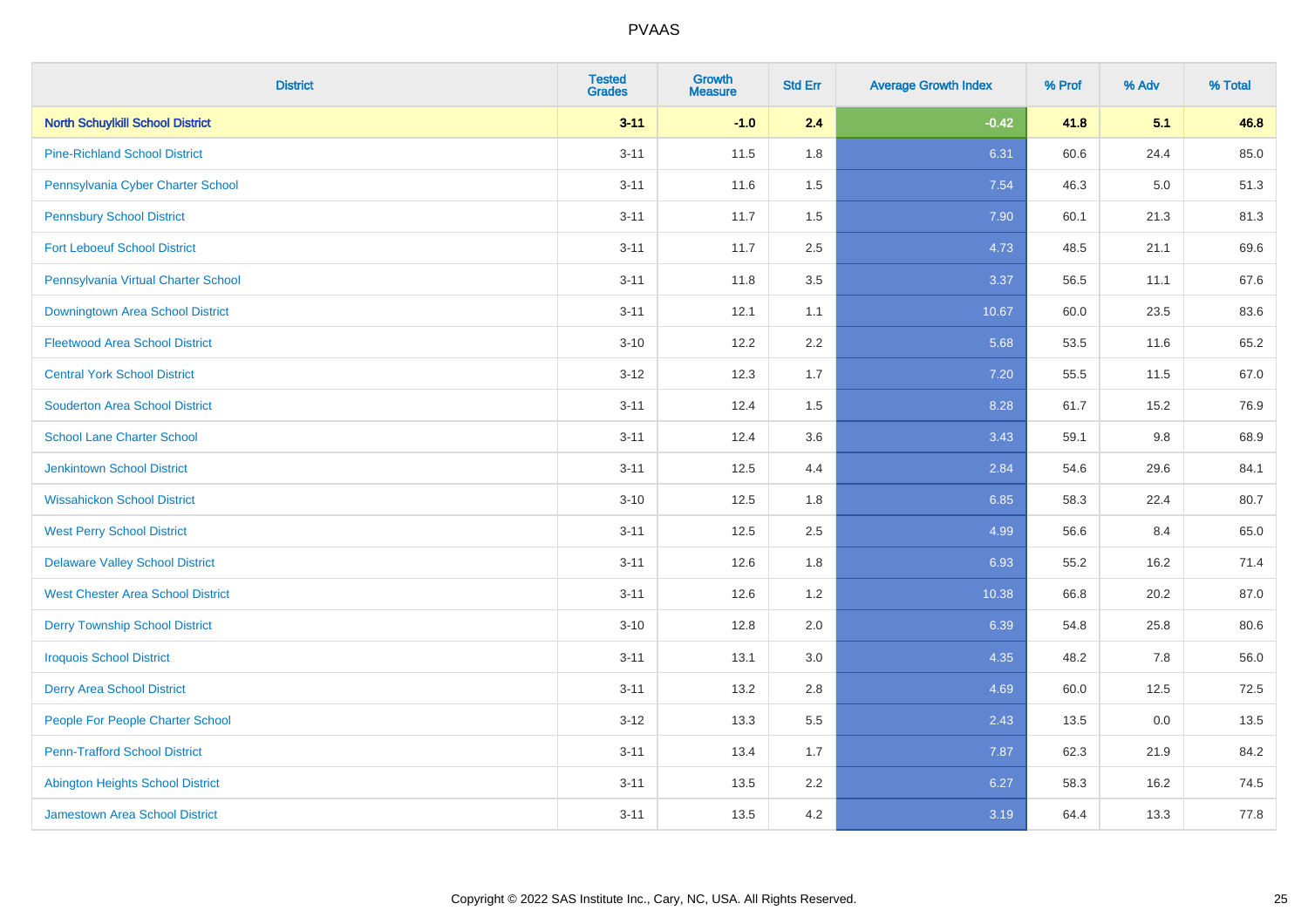| <b>District</b>                          | <b>Tested</b><br><b>Grades</b> | Growth<br><b>Measure</b> | <b>Std Err</b> | <b>Average Growth Index</b> | % Prof | % Adv   | % Total |
|------------------------------------------|--------------------------------|--------------------------|----------------|-----------------------------|--------|---------|---------|
| <b>North Schuylkill School District</b>  | $3 - 11$                       | $-1.0$                   | 2.4            | $-0.42$                     | 41.8   | 5.1     | 46.8    |
| <b>Pine-Richland School District</b>     | $3 - 11$                       | 11.5                     | 1.8            | 6.31                        | 60.6   | 24.4    | 85.0    |
| Pennsylvania Cyber Charter School        | $3 - 11$                       | 11.6                     | 1.5            | 7.54                        | 46.3   | $5.0\,$ | 51.3    |
| <b>Pennsbury School District</b>         | $3 - 11$                       | 11.7                     | 1.5            | 7.90                        | 60.1   | 21.3    | 81.3    |
| <b>Fort Leboeuf School District</b>      | $3 - 11$                       | 11.7                     | 2.5            | 4.73                        | 48.5   | 21.1    | 69.6    |
| Pennsylvania Virtual Charter School      | $3 - 11$                       | 11.8                     | 3.5            | 3.37                        | 56.5   | 11.1    | 67.6    |
| <b>Downingtown Area School District</b>  | $3 - 11$                       | 12.1                     | 1.1            | 10.67                       | 60.0   | 23.5    | 83.6    |
| <b>Fleetwood Area School District</b>    | $3 - 10$                       | 12.2                     | 2.2            | 5.68                        | 53.5   | 11.6    | 65.2    |
| <b>Central York School District</b>      | $3-12$                         | 12.3                     | 1.7            | 7.20                        | 55.5   | 11.5    | 67.0    |
| <b>Souderton Area School District</b>    | $3 - 11$                       | 12.4                     | 1.5            | 8.28                        | 61.7   | 15.2    | 76.9    |
| <b>School Lane Charter School</b>        | $3 - 11$                       | 12.4                     | 3.6            | 3.43                        | 59.1   | 9.8     | 68.9    |
| <b>Jenkintown School District</b>        | $3 - 11$                       | 12.5                     | 4.4            | 2.84                        | 54.6   | 29.6    | 84.1    |
| <b>Wissahickon School District</b>       | $3 - 10$                       | 12.5                     | 1.8            | 6.85                        | 58.3   | 22.4    | 80.7    |
| <b>West Perry School District</b>        | $3 - 11$                       | 12.5                     | 2.5            | 4.99                        | 56.6   | 8.4     | 65.0    |
| <b>Delaware Valley School District</b>   | $3 - 11$                       | 12.6                     | 1.8            | 6.93                        | 55.2   | 16.2    | 71.4    |
| <b>West Chester Area School District</b> | $3 - 11$                       | 12.6                     | 1.2            | 10.38                       | 66.8   | 20.2    | 87.0    |
| <b>Derry Township School District</b>    | $3 - 10$                       | 12.8                     | 2.0            | 6.39                        | 54.8   | 25.8    | 80.6    |
| <b>Iroquois School District</b>          | $3 - 11$                       | 13.1                     | 3.0            | 4.35                        | 48.2   | 7.8     | 56.0    |
| <b>Derry Area School District</b>        | $3 - 11$                       | 13.2                     | 2.8            | 4.69                        | 60.0   | 12.5    | 72.5    |
| People For People Charter School         | $3-12$                         | 13.3                     | 5.5            | 2.43                        | 13.5   | 0.0     | 13.5    |
| <b>Penn-Trafford School District</b>     | $3 - 11$                       | 13.4                     | 1.7            | 7.87                        | 62.3   | 21.9    | 84.2    |
| <b>Abington Heights School District</b>  | $3 - 11$                       | 13.5                     | 2.2            | 6.27                        | 58.3   | 16.2    | 74.5    |
| <b>Jamestown Area School District</b>    | $3 - 11$                       | 13.5                     | 4.2            | 3.19                        | 64.4   | 13.3    | 77.8    |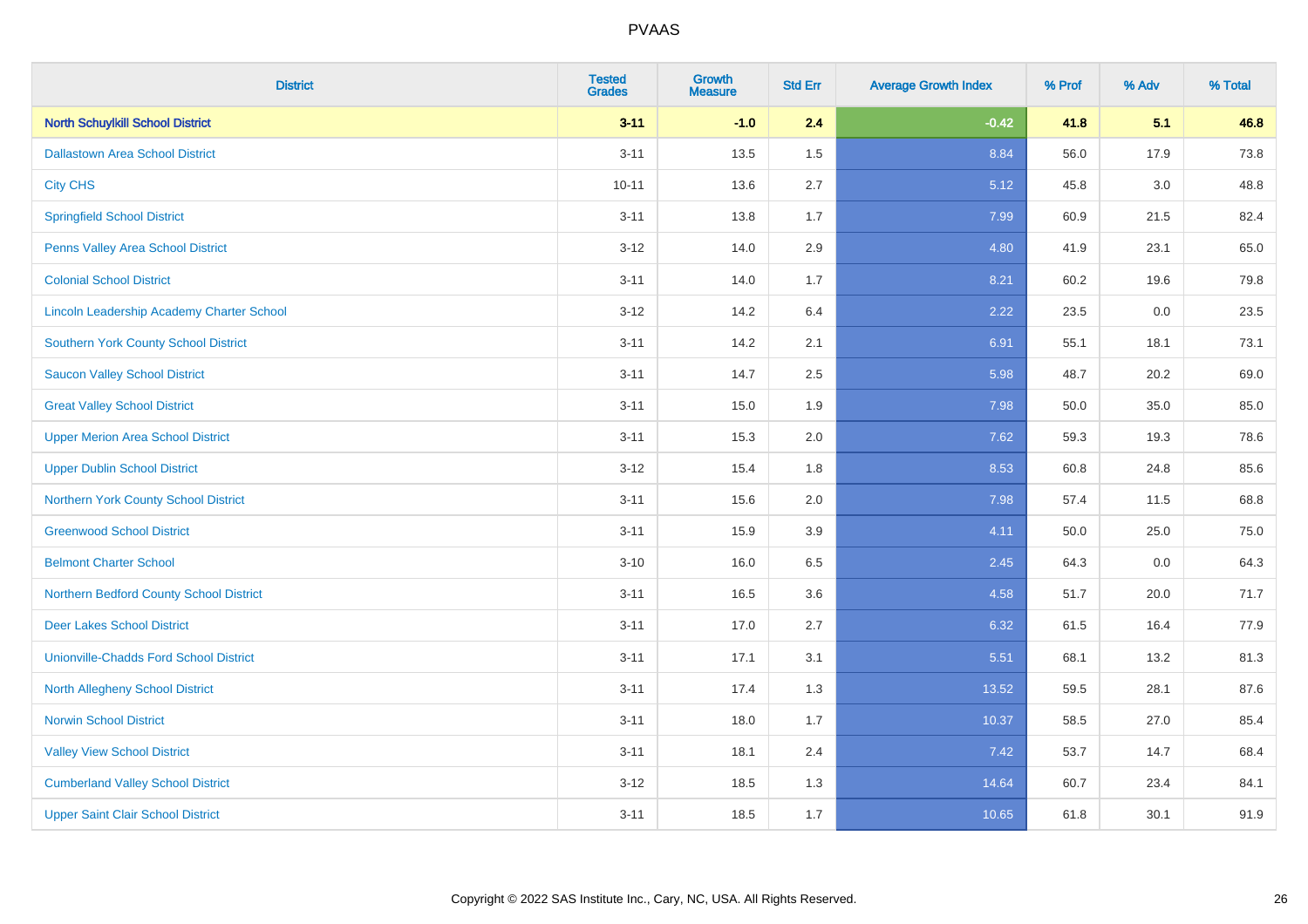| <b>District</b>                                  | <b>Tested</b><br><b>Grades</b> | <b>Growth</b><br><b>Measure</b> | <b>Std Err</b> | <b>Average Growth Index</b> | % Prof | % Adv   | % Total |
|--------------------------------------------------|--------------------------------|---------------------------------|----------------|-----------------------------|--------|---------|---------|
| <b>North Schuylkill School District</b>          | $3 - 11$                       | $-1.0$                          | 2.4            | $-0.42$                     | 41.8   | 5.1     | 46.8    |
| <b>Dallastown Area School District</b>           | $3 - 11$                       | 13.5                            | 1.5            | 8.84                        | 56.0   | 17.9    | 73.8    |
| <b>City CHS</b>                                  | $10 - 11$                      | 13.6                            | 2.7            | 5.12                        | 45.8   | 3.0     | 48.8    |
| <b>Springfield School District</b>               | $3 - 11$                       | 13.8                            | 1.7            | 7.99                        | 60.9   | 21.5    | 82.4    |
| Penns Valley Area School District                | $3 - 12$                       | 14.0                            | 2.9            | 4.80                        | 41.9   | 23.1    | 65.0    |
| <b>Colonial School District</b>                  | $3 - 11$                       | 14.0                            | 1.7            | 8.21                        | 60.2   | 19.6    | 79.8    |
| <b>Lincoln Leadership Academy Charter School</b> | $3 - 12$                       | 14.2                            | 6.4            | 2.22                        | 23.5   | $0.0\,$ | 23.5    |
| <b>Southern York County School District</b>      | $3 - 11$                       | 14.2                            | 2.1            | 6.91                        | 55.1   | 18.1    | 73.1    |
| <b>Saucon Valley School District</b>             | $3 - 11$                       | 14.7                            | 2.5            | 5.98                        | 48.7   | 20.2    | 69.0    |
| <b>Great Valley School District</b>              | $3 - 11$                       | 15.0                            | 1.9            | 7.98                        | 50.0   | 35.0    | 85.0    |
| <b>Upper Merion Area School District</b>         | $3 - 11$                       | 15.3                            | 2.0            | 7.62                        | 59.3   | 19.3    | 78.6    |
| <b>Upper Dublin School District</b>              | $3 - 12$                       | 15.4                            | 1.8            | 8.53                        | 60.8   | 24.8    | 85.6    |
| Northern York County School District             | $3 - 11$                       | 15.6                            | 2.0            | 7.98                        | 57.4   | 11.5    | 68.8    |
| <b>Greenwood School District</b>                 | $3 - 11$                       | 15.9                            | 3.9            | 4.11                        | 50.0   | 25.0    | 75.0    |
| <b>Belmont Charter School</b>                    | $3 - 10$                       | 16.0                            | 6.5            | 2.45                        | 64.3   | 0.0     | 64.3    |
| Northern Bedford County School District          | $3 - 11$                       | 16.5                            | 3.6            | 4.58                        | 51.7   | 20.0    | 71.7    |
| <b>Deer Lakes School District</b>                | $3 - 11$                       | 17.0                            | 2.7            | 6.32                        | 61.5   | 16.4    | 77.9    |
| <b>Unionville-Chadds Ford School District</b>    | $3 - 11$                       | 17.1                            | 3.1            | 5.51                        | 68.1   | 13.2    | 81.3    |
| <b>North Allegheny School District</b>           | $3 - 11$                       | 17.4                            | 1.3            | 13.52                       | 59.5   | 28.1    | 87.6    |
| <b>Norwin School District</b>                    | $3 - 11$                       | 18.0                            | 1.7            | 10.37                       | 58.5   | 27.0    | 85.4    |
| <b>Valley View School District</b>               | $3 - 11$                       | 18.1                            | 2.4            | 7.42                        | 53.7   | 14.7    | 68.4    |
| <b>Cumberland Valley School District</b>         | $3 - 12$                       | 18.5                            | 1.3            | 14.64                       | 60.7   | 23.4    | 84.1    |
| <b>Upper Saint Clair School District</b>         | $3 - 11$                       | 18.5                            | 1.7            | 10.65                       | 61.8   | 30.1    | 91.9    |